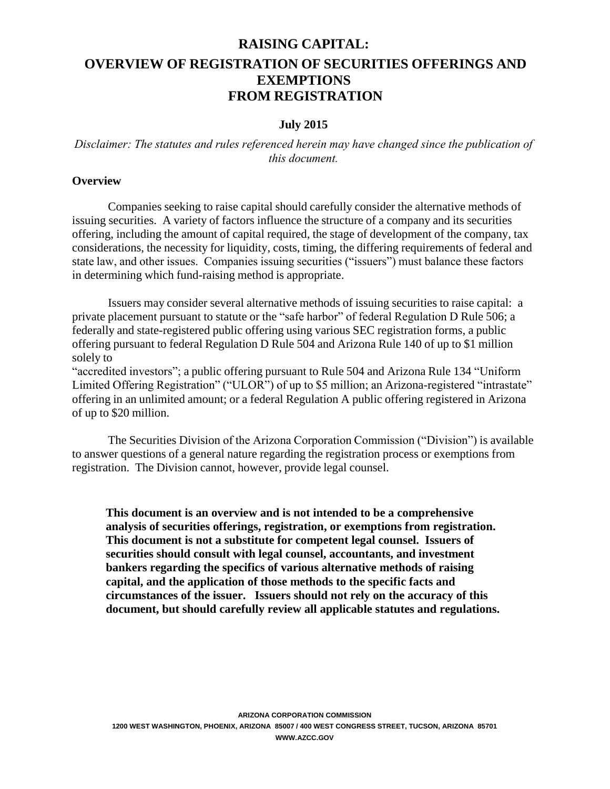# **RAISING CAPITAL: OVERVIEW OF REGISTRATION OF SECURITIES OFFERINGS AND EXEMPTIONS FROM REGISTRATION**

#### **July 2015**

#### *Disclaimer: The statutes and rules referenced herein may have changed since the publication of this document.*

#### **Overview**

Companies seeking to raise capital should carefully consider the alternative methods of issuing securities. A variety of factors influence the structure of a company and its securities offering, including the amount of capital required, the stage of development of the company, tax considerations, the necessity for liquidity, costs, timing, the differing requirements of federal and state law, and other issues. Companies issuing securities ("issuers") must balance these factors in determining which fund-raising method is appropriate.

Issuers may consider several alternative methods of issuing securities to raise capital: a private placement pursuant to statute or the "safe harbor" of federal Regulation D Rule 506; a federally and state-registered public offering using various SEC registration forms, a public offering pursuant to federal Regulation D Rule 504 and Arizona Rule 140 of up to \$1 million solely to

"accredited investors"; a public offering pursuant to Rule 504 and Arizona Rule 134 "Uniform Limited Offering Registration" ("ULOR") of up to \$5 million; an Arizona-registered "intrastate" offering in an unlimited amount; or a federal Regulation A public offering registered in Arizona of up to \$20 million.

The Securities Division of the Arizona Corporation Commission ("Division") is available to answer questions of a general nature regarding the registration process or exemptions from registration. The Division cannot, however, provide legal counsel.

**This document is an overview and is not intended to be a comprehensive analysis of securities offerings, registration, or exemptions from registration. This document is not a substitute for competent legal counsel. Issuers of securities should consult with legal counsel, accountants, and investment bankers regarding the specifics of various alternative methods of raising capital, and the application of those methods to the specific facts and circumstances of the issuer. Issuers should not rely on the accuracy of this document, but should carefully review all applicable statutes and regulations.**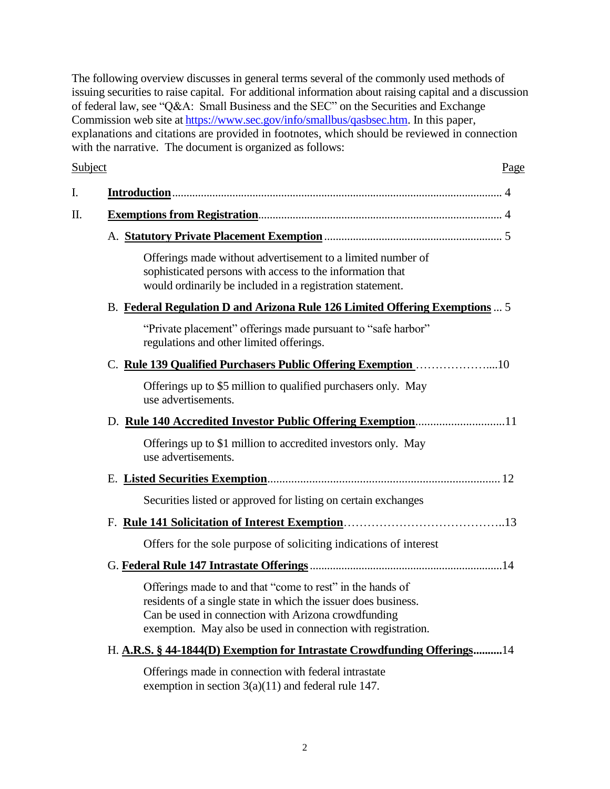The following overview discusses in general terms several of the commonly used methods of issuing securities to raise capital. For additional information about raising capital and a discussion of federal law, see "Q&A: Small Business and the SEC" on the Securities and Exchange Commission web site at [https://www.sec.gov/info/smallbus/qasbsec.htm.](https://www.sec.gov/info/smallbus/qasbsec.htm) In this paper, explanations and citations are provided in footnotes, which should be reviewed in connection with the narrative. The document is organized as follows:

#### Subject Page

| Offerings made without advertisement to a limited number of<br>sophisticated persons with access to the information that<br>would ordinarily be included in a registration statement.                                                              |
|----------------------------------------------------------------------------------------------------------------------------------------------------------------------------------------------------------------------------------------------------|
| B. Federal Regulation D and Arizona Rule 126 Limited Offering Exemptions  5                                                                                                                                                                        |
| "Private placement" offerings made pursuant to "safe harbor"<br>regulations and other limited offerings.                                                                                                                                           |
| C. Rule 139 Qualified Purchasers Public Offering Exemption 10                                                                                                                                                                                      |
| Offerings up to \$5 million to qualified purchasers only. May<br>use advertisements.                                                                                                                                                               |
|                                                                                                                                                                                                                                                    |
| Offerings up to \$1 million to accredited investors only. May<br>use advertisements.                                                                                                                                                               |
|                                                                                                                                                                                                                                                    |
| Securities listed or approved for listing on certain exchanges                                                                                                                                                                                     |
|                                                                                                                                                                                                                                                    |
| Offers for the sole purpose of soliciting indications of interest                                                                                                                                                                                  |
|                                                                                                                                                                                                                                                    |
| Offerings made to and that "come to rest" in the hands of<br>residents of a single state in which the issuer does business.<br>Can be used in connection with Arizona crowdfunding<br>exemption. May also be used in connection with registration. |
| H. A.R.S. § 44-1844(D) Exemption for Intrastate Crowdfunding Offerings14                                                                                                                                                                           |

Offerings made in connection with federal intrastate exemption in section 3(a)(11) and federal rule 147.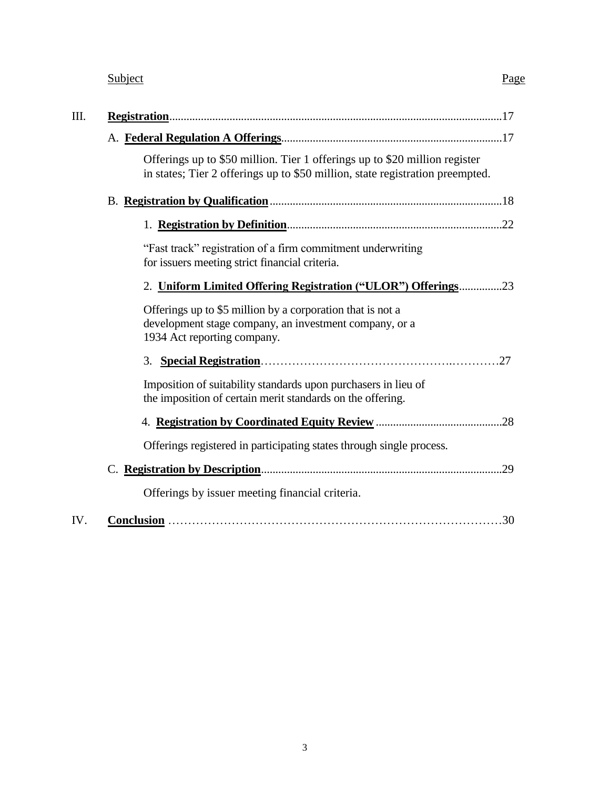| Subject | Page<br>$\overline{\phantom{a}}$ |
|---------|----------------------------------|
|         |                                  |

| Ш.  |                                                                                                                                                             |
|-----|-------------------------------------------------------------------------------------------------------------------------------------------------------------|
|     |                                                                                                                                                             |
|     | Offerings up to \$50 million. Tier 1 offerings up to \$20 million register<br>in states; Tier 2 offerings up to \$50 million, state registration preempted. |
|     |                                                                                                                                                             |
|     |                                                                                                                                                             |
|     | "Fast track" registration of a firm commitment underwriting<br>for issuers meeting strict financial criteria.                                               |
|     | 2. Uniform Limited Offering Registration ("ULOR") Offerings23                                                                                               |
|     | Offerings up to \$5 million by a corporation that is not a<br>development stage company, an investment company, or a<br>1934 Act reporting company.         |
|     |                                                                                                                                                             |
|     | Imposition of suitability standards upon purchasers in lieu of<br>the imposition of certain merit standards on the offering.                                |
|     |                                                                                                                                                             |
|     | Offerings registered in participating states through single process.                                                                                        |
|     |                                                                                                                                                             |
|     | Offerings by issuer meeting financial criteria.                                                                                                             |
| IV. | .30                                                                                                                                                         |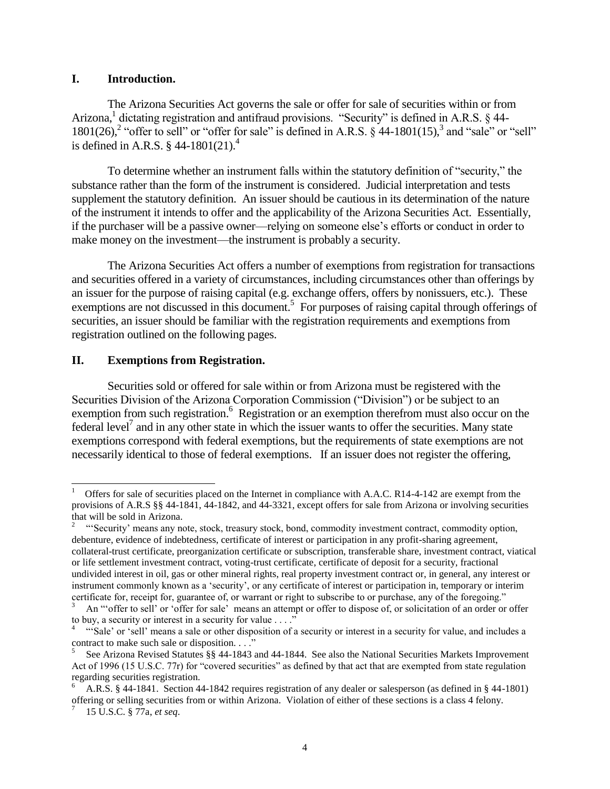#### **I. Introduction.**

The Arizona Securities Act governs the sale or offer for sale of securities within or from Arizona,<sup>1</sup> dictating registration and antifraud provisions. "Security" is defined in A.R.S. § 44- $1801(26)$ ,<sup>2</sup> "offer to sell" or "offer for sale" is defined in A.R.S. § 44-1801(15),<sup>3</sup> and "sale" or "sell" is defined in A.R.S.  $\S$  44-1801(21).<sup>4</sup>

To determine whether an instrument falls within the statutory definition of "security," the substance rather than the form of the instrument is considered. Judicial interpretation and tests supplement the statutory definition. An issuer should be cautious in its determination of the nature of the instrument it intends to offer and the applicability of the Arizona Securities Act. Essentially, if the purchaser will be a passive owner—relying on someone else's efforts or conduct in order to make money on the investment—the instrument is probably a security.

The Arizona Securities Act offers a number of exemptions from registration for transactions and securities offered in a variety of circumstances, including circumstances other than offerings by an issuer for the purpose of raising capital (e.g. exchange offers, offers by nonissuers, etc.). These exemptions are not discussed in this document.<sup>5</sup> For purposes of raising capital through offerings of securities, an issuer should be familiar with the registration requirements and exemptions from registration outlined on the following pages.

#### **II. Exemptions from Registration.**

 $\overline{a}$ 

Securities sold or offered for sale within or from Arizona must be registered with the Securities Division of the Arizona Corporation Commission ("Division") or be subject to an exemption from such registration.<sup>6</sup> Registration or an exemption therefrom must also occur on the federal level<sup>7</sup> and in any other state in which the issuer wants to offer the securities. Many state exemptions correspond with federal exemptions, but the requirements of state exemptions are not necessarily identical to those of federal exemptions. If an issuer does not register the offering,

<sup>1</sup> Offers for sale of securities placed on the Internet in compliance with A.A.C. R14-4-142 are exempt from the provisions of A.R.S §§ 44-1841, 44-1842, and 44-3321, except offers for sale from Arizona or involving securities that will be sold in Arizona.

<sup>2</sup> "'Security' means any note, stock, treasury stock, bond, commodity investment contract, commodity option, debenture, evidence of indebtedness, certificate of interest or participation in any profit-sharing agreement, collateral-trust certificate, preorganization certificate or subscription, transferable share, investment contract, viatical or life settlement investment contract, voting-trust certificate, certificate of deposit for a security, fractional undivided interest in oil, gas or other mineral rights, real property investment contract or, in general, any interest or instrument commonly known as a 'security', or any certificate of interest or participation in, temporary or interim certificate for, receipt for, guarantee of, or warrant or right to subscribe to or purchase, any of the foregoing."

An "'offer to sell' or 'offer for sale' means an attempt or offer to dispose of, or solicitation of an order or offer to buy, a security or interest in a security for value . . . ."

<sup>4</sup> "'Sale' or 'sell' means a sale or other disposition of a security or interest in a security for value, and includes a contract to make such sale or disposition. . . ."

<sup>5</sup> See Arizona Revised Statutes §§ 44-1843 and 44-1844. See also the National Securities Markets Improvement Act of 1996 (15 U.S.C. 77r) for "covered securities" as defined by that act that are exempted from state regulation regarding securities registration.

<sup>6</sup> A.R.S. § 44-1841. Section 44-1842 requires registration of any dealer or salesperson (as defined in § 44-1801) offering or selling securities from or within Arizona. Violation of either of these sections is a class 4 felony. 7 15 U.S.C. § 77a, *et seq*.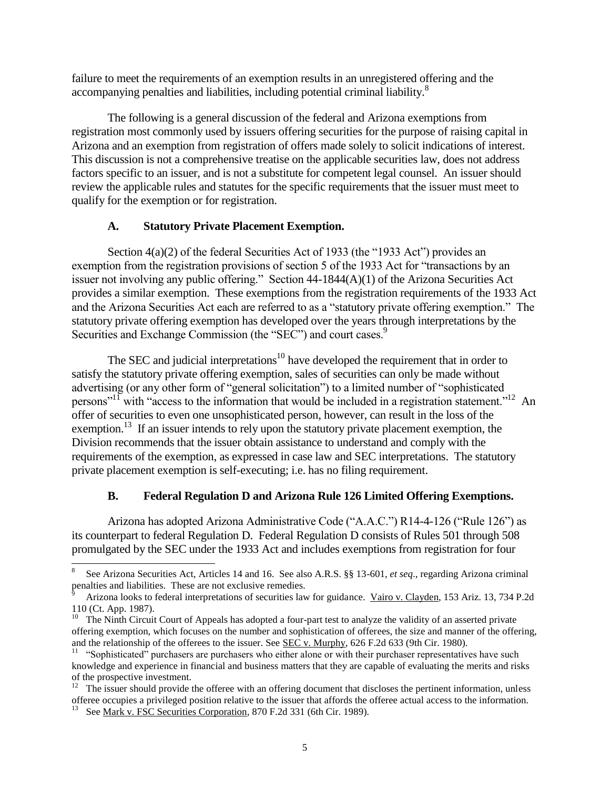failure to meet the requirements of an exemption results in an unregistered offering and the accompanying penalties and liabilities, including potential criminal liability.<sup>8</sup>

The following is a general discussion of the federal and Arizona exemptions from registration most commonly used by issuers offering securities for the purpose of raising capital in Arizona and an exemption from registration of offers made solely to solicit indications of interest. This discussion is not a comprehensive treatise on the applicable securities law, does not address factors specific to an issuer, and is not a substitute for competent legal counsel. An issuer should review the applicable rules and statutes for the specific requirements that the issuer must meet to qualify for the exemption or for registration.

#### **A. Statutory Private Placement Exemption.**

Section 4(a)(2) of the federal Securities Act of 1933 (the "1933 Act") provides an exemption from the registration provisions of section 5 of the 1933 Act for "transactions by an issuer not involving any public offering." Section 44-1844(A)(1) of the Arizona Securities Act provides a similar exemption. These exemptions from the registration requirements of the 1933 Act and the Arizona Securities Act each are referred to as a "statutory private offering exemption." The statutory private offering exemption has developed over the years through interpretations by the Securities and Exchange Commission (the "SEC") and court cases.<sup>9</sup>

The SEC and judicial interpretations<sup>10</sup> have developed the requirement that in order to satisfy the statutory private offering exemption, sales of securities can only be made without advertising (or any other form of "general solicitation") to a limited number of "sophisticated persons"<sup>11</sup> with "access to the information that would be included in a registration statement."<sup>12</sup> An offer of securities to even one unsophisticated person, however, can result in the loss of the exemption.<sup>13</sup> If an issuer intends to rely upon the statutory private placement exemption, the Division recommends that the issuer obtain assistance to understand and comply with the requirements of the exemption, as expressed in case law and SEC interpretations. The statutory private placement exemption is self-executing; i.e. has no filing requirement.

## **B. Federal Regulation D and Arizona Rule 126 Limited Offering Exemptions.**

Arizona has adopted Arizona Administrative Code ("A.A.C.") R14-4-126 ("Rule 126") as its counterpart to federal Regulation D. Federal Regulation D consists of Rules 501 through 508 promulgated by the SEC under the 1933 Act and includes exemptions from registration for four

l

<sup>8</sup> See Arizona Securities Act, Articles 14 and 16. See also A.R.S. §§ 13-601, *et seq*., regarding Arizona criminal penalties and liabilities. These are not exclusive remedies.

<sup>9</sup> Arizona looks to federal interpretations of securities law for guidance. Vairo v. Clayden, 153 Ariz. 13, 734 P.2d 110 (Ct. App. 1987).

 $10$  The Ninth Circuit Court of Appeals has adopted a four-part test to analyze the validity of an asserted private offering exemption, which focuses on the number and sophistication of offerees, the size and manner of the offering, and the relationship of the offerees to the issuer. See SEC v. Murphy, 626 F.2d 633 (9th Cir. 1980).

<sup>&</sup>lt;sup>11</sup> "Sophisticated" purchasers are purchasers who either alone or with their purchaser representatives have such knowledge and experience in financial and business matters that they are capable of evaluating the merits and risks of the prospective investment.

 $12$  The issuer should provide the offeree with an offering document that discloses the pertinent information, unless offeree occupies a privileged position relative to the issuer that affords the offeree actual access to the information.

<sup>&</sup>lt;sup>13</sup> See Mark v. FSC Securities Corporation, 870 F.2d 331 (6th Cir. 1989).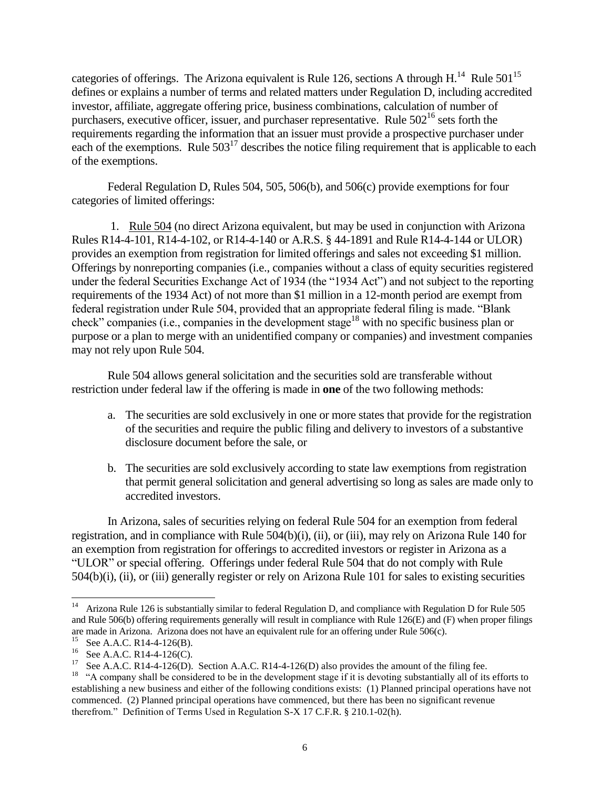categories of offerings. The Arizona equivalent is Rule 126, sections A through H.<sup>14</sup> Rule 501<sup>15</sup> defines or explains a number of terms and related matters under Regulation D, including accredited investor, affiliate, aggregate offering price, business combinations, calculation of number of purchasers, executive officer, issuer, and purchaser representative. Rule 502<sup>16</sup> sets forth the requirements regarding the information that an issuer must provide a prospective purchaser under each of the exemptions. Rule  $503^{17}$  describes the notice filing requirement that is applicable to each of the exemptions.

Federal Regulation D, Rules 504, 505, 506(b), and 506(c) provide exemptions for four categories of limited offerings:

1. Rule 504 (no direct Arizona equivalent, but may be used in conjunction with Arizona Rules R14-4-101, R14-4-102, or R14-4-140 or A.R.S. § 44-1891 and Rule R14-4-144 or ULOR) provides an exemption from registration for limited offerings and sales not exceeding \$1 million. Offerings by nonreporting companies (i.e., companies without a class of equity securities registered under the federal Securities Exchange Act of 1934 (the "1934 Act") and not subject to the reporting requirements of the 1934 Act) of not more than \$1 million in a 12-month period are exempt from federal registration under Rule 504, provided that an appropriate federal filing is made. "Blank check" companies (i.e., companies in the development stage<sup>18</sup> with no specific business plan or purpose or a plan to merge with an unidentified company or companies) and investment companies may not rely upon Rule 504.

Rule 504 allows general solicitation and the securities sold are transferable without restriction under federal law if the offering is made in **one** of the two following methods:

- a. The securities are sold exclusively in one or more states that provide for the registration of the securities and require the public filing and delivery to investors of a substantive disclosure document before the sale, or
- b. The securities are sold exclusively according to state law exemptions from registration that permit general solicitation and general advertising so long as sales are made only to accredited investors.

In Arizona, sales of securities relying on federal Rule 504 for an exemption from federal registration, and in compliance with Rule 504(b)(i), (ii), or (iii), may rely on Arizona Rule 140 for an exemption from registration for offerings to accredited investors or register in Arizona as a "ULOR" or special offering. Offerings under federal Rule 504 that do not comply with Rule 504(b)(i), (ii), or (iii) generally register or rely on Arizona Rule 101 for sales to existing securities

<sup>14</sup> Arizona Rule 126 is substantially similar to federal Regulation D, and compliance with Regulation D for Rule 505 and Rule 506(b) offering requirements generally will result in compliance with Rule 126(E) and (F) when proper filings are made in Arizona. Arizona does not have an equivalent rule for an offering under Rule 506(c).

<sup>&</sup>lt;sup>15</sup> See A.A.C. R14-4-126(B).

<sup>&</sup>lt;sup>16</sup> See A.A.C. R14-4-126(C).

See A.A.C. R14-4-126(D). Section A.A.C. R14-4-126(D) also provides the amount of the filing fee.

 $<sup>18</sup>$  "A company shall be considered to be in the development stage if it is devoting substantially all of its efforts to</sup> establishing a new business and either of the following conditions exists: (1) Planned principal operations have not commenced. (2) Planned principal operations have commenced, but there has been no significant revenue therefrom." Definition of Terms Used in Regulation S-X 17 C.F.R. § 210.1-02(h).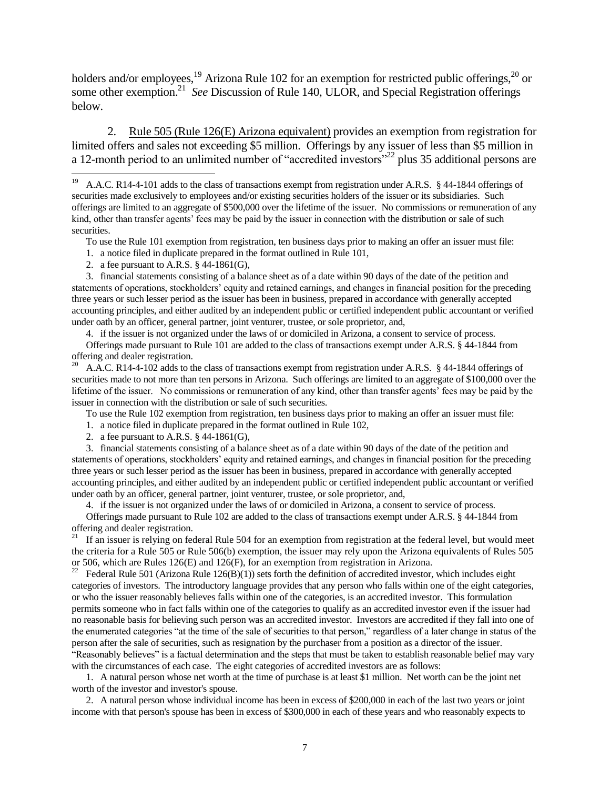holders and/or employees,<sup>19</sup> Arizona Rule 102 for an exemption for restricted public offerings,<sup>20</sup> or some other exemption.<sup>21</sup> See Discussion of Rule 140, ULOR, and Special Registration offerings below.

2. Rule 505 (Rule 126(E) Arizona equivalent) provides an exemption from registration for limited offers and sales not exceeding \$5 million. Offerings by any issuer of less than \$5 million in a 12-month period to an unlimited number of "accredited investors"<sup>22</sup> plus 35 additional persons are

To use the Rule 101 exemption from registration, ten business days prior to making an offer an issuer must file:

1. a notice filed in duplicate prepared in the format outlined in Rule 101,

2. a fee pursuant to A.R.S. § 44-1861(G),

 $\overline{a}$ 

3. financial statements consisting of a balance sheet as of a date within 90 days of the date of the petition and statements of operations, stockholders' equity and retained earnings, and changes in financial position for the preceding three years or such lesser period as the issuer has been in business, prepared in accordance with generally accepted accounting principles, and either audited by an independent public or certified independent public accountant or verified under oath by an officer, general partner, joint venturer, trustee, or sole proprietor, and,

4. if the issuer is not organized under the laws of or domiciled in Arizona, a consent to service of process.

Offerings made pursuant to Rule 101 are added to the class of transactions exempt under A.R.S. § 44-1844 from offering and dealer registration.

<sup>20</sup> A.A.C. R14-4-102 adds to the class of transactions exempt from registration under A.R.S. § 44-1844 offerings of securities made to not more than ten persons in Arizona. Such offerings are limited to an aggregate of \$100,000 over the lifetime of the issuer. No commissions or remuneration of any kind, other than transfer agents' fees may be paid by the issuer in connection with the distribution or sale of such securities.

To use the Rule 102 exemption from registration, ten business days prior to making an offer an issuer must file:

1. a notice filed in duplicate prepared in the format outlined in Rule 102,

2. a fee pursuant to A.R.S. § 44-1861(G),

3. financial statements consisting of a balance sheet as of a date within 90 days of the date of the petition and statements of operations, stockholders' equity and retained earnings, and changes in financial position for the preceding three years or such lesser period as the issuer has been in business, prepared in accordance with generally accepted accounting principles, and either audited by an independent public or certified independent public accountant or verified under oath by an officer, general partner, joint venturer, trustee, or sole proprietor, and,

4. if the issuer is not organized under the laws of or domiciled in Arizona, a consent to service of process. Offerings made pursuant to Rule 102 are added to the class of transactions exempt under A.R.S. § 44-1844 from offering and dealer registration.

 $21$  If an issuer is relying on federal Rule 504 for an exemption from registration at the federal level, but would meet the criteria for a Rule 505 or Rule 506(b) exemption, the issuer may rely upon the Arizona equivalents of Rules 505 or 506, which are Rules 126(E) and 126(F), for an exemption from registration in Arizona.

 $22$  Federal Rule 501 (Arizona Rule 126(B)(1)) sets forth the definition of accredited investor, which includes eight categories of investors. The introductory language provides that any person who falls within one of the eight categories, or who the issuer reasonably believes falls within one of the categories, is an accredited investor. This formulation permits someone who in fact falls within one of the categories to qualify as an accredited investor even if the issuer had no reasonable basis for believing such person was an accredited investor. Investors are accredited if they fall into one of the enumerated categories "at the time of the sale of securities to that person," regardless of a later change in status of the person after the sale of securities, such as resignation by the purchaser from a position as a director of the issuer.

"Reasonably believes" is a factual determination and the steps that must be taken to establish reasonable belief may vary with the circumstances of each case. The eight categories of accredited investors are as follows:

1. A natural person whose net worth at the time of purchase is at least \$1 million. Net worth can be the joint net worth of the investor and investor's spouse.

2. A natural person whose individual income has been in excess of \$200,000 in each of the last two years or joint income with that person's spouse has been in excess of \$300,000 in each of these years and who reasonably expects to

<sup>&</sup>lt;sup>19</sup> A.A.C. R14-4-101 adds to the class of transactions exempt from registration under A.R.S. § 44-1844 offerings of securities made exclusively to employees and/or existing securities holders of the issuer or its subsidiaries. Such offerings are limited to an aggregate of \$500,000 over the lifetime of the issuer. No commissions or remuneration of any kind, other than transfer agents' fees may be paid by the issuer in connection with the distribution or sale of such securities.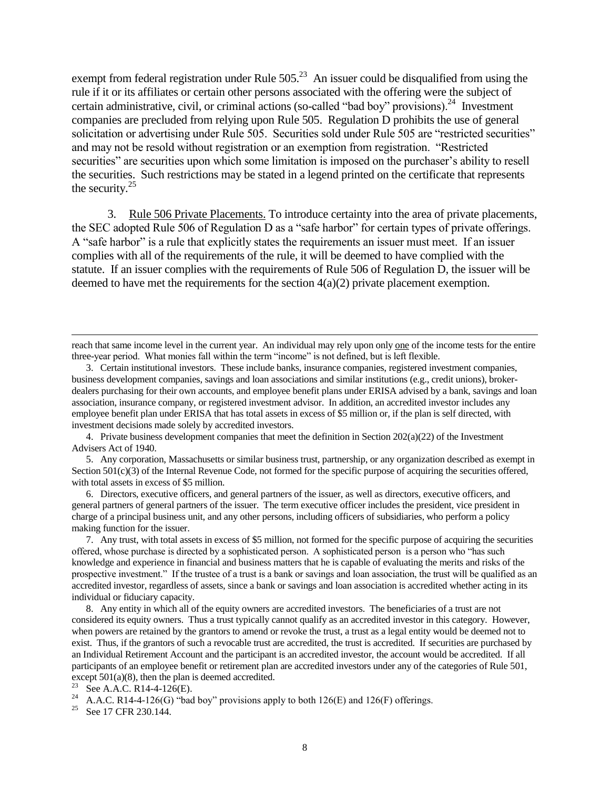exempt from federal registration under Rule  $505<sup>23</sup>$  An issuer could be disqualified from using the rule if it or its affiliates or certain other persons associated with the offering were the subject of certain administrative, civil, or criminal actions (so-called "bad boy" provisions).<sup>24</sup> Investment companies are precluded from relying upon Rule 505. Regulation D prohibits the use of general solicitation or advertising under Rule 505. Securities sold under Rule 505 are "restricted securities" and may not be resold without registration or an exemption from registration. "Restricted securities" are securities upon which some limitation is imposed on the purchaser's ability to resell the securities. Such restrictions may be stated in a legend printed on the certificate that represents the security.<sup>25</sup>

3. Rule 506 Private Placements. To introduce certainty into the area of private placements, the SEC adopted Rule 506 of Regulation D as a "safe harbor" for certain types of private offerings. A "safe harbor" is a rule that explicitly states the requirements an issuer must meet. If an issuer complies with all of the requirements of the rule, it will be deemed to have complied with the statute. If an issuer complies with the requirements of Rule 506 of Regulation D, the issuer will be deemed to have met the requirements for the section  $4(a)(2)$  private placement exemption.

4. Private business development companies that meet the definition in Section  $202(a)(22)$  of the Investment Advisers Act of 1940.

5. Any corporation, Massachusetts or similar business trust, partnership, or any organization described as exempt in Section 501(c)(3) of the Internal Revenue Code, not formed for the specific purpose of acquiring the securities offered, with total assets in excess of \$5 million.

6. Directors, executive officers, and general partners of the issuer, as well as directors, executive officers, and general partners of general partners of the issuer. The term executive officer includes the president, vice president in charge of a principal business unit, and any other persons, including officers of subsidiaries, who perform a policy making function for the issuer.

7. Any trust, with total assets in excess of \$5 million, not formed for the specific purpose of acquiring the securities offered, whose purchase is directed by a sophisticated person. A sophisticated person is a person who "has such knowledge and experience in financial and business matters that he is capable of evaluating the merits and risks of the prospective investment." If the trustee of a trust is a bank or savings and loan association, the trust will be qualified as an accredited investor, regardless of assets, since a bank or savings and loan association is accredited whether acting in its individual or fiduciary capacity.

8. Any entity in which all of the equity owners are accredited investors. The beneficiaries of a trust are not considered its equity owners. Thus a trust typically cannot qualify as an accredited investor in this category. However, when powers are retained by the grantors to amend or revoke the trust, a trust as a legal entity would be deemed not to exist. Thus, if the grantors of such a revocable trust are accredited, the trust is accredited. If securities are purchased by an Individual Retirement Account and the participant is an accredited investor, the account would be accredited. If all participants of an employee benefit or retirement plan are accredited investors under any of the categories of Rule 501, except  $501(a)(8)$ , then the plan is deemed accredited.

<sup>23</sup> See A.A.C. R14-4-126(E).

reach that same income level in the current year. An individual may rely upon only one of the income tests for the entire three-year period. What monies fall within the term "income" is not defined, but is left flexible.

<sup>3.</sup> Certain institutional investors. These include banks, insurance companies, registered investment companies, business development companies, savings and loan associations and similar institutions (e.g., credit unions), brokerdealers purchasing for their own accounts, and employee benefit plans under ERISA advised by a bank, savings and loan association, insurance company, or registered investment advisor. In addition, an accredited investor includes any employee benefit plan under ERISA that has total assets in excess of \$5 million or, if the plan is self directed, with investment decisions made solely by accredited investors.

<sup>&</sup>lt;sup>24</sup> A.A.C. R14-4-126(G) "bad boy" provisions apply to both 126(E) and 126(F) offerings.

<sup>&</sup>lt;sup>25</sup> See 17 CFR 230.144.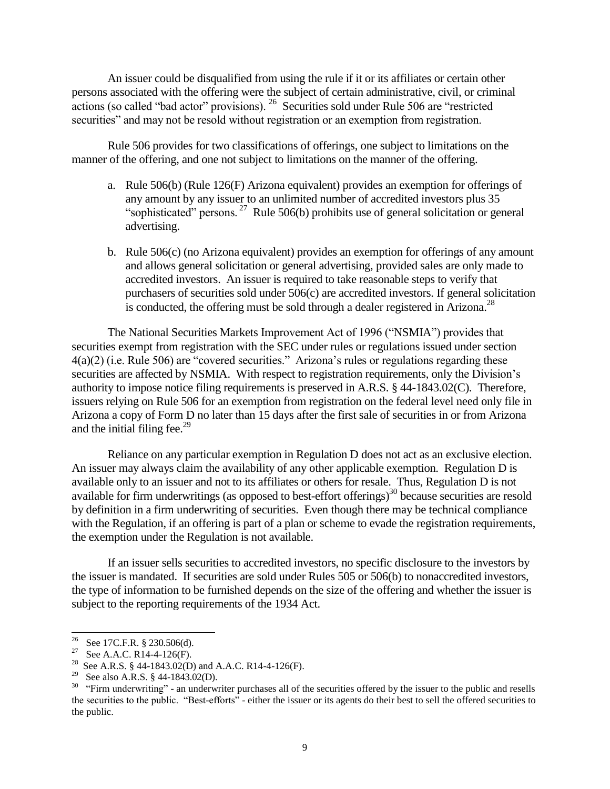An issuer could be disqualified from using the rule if it or its affiliates or certain other persons associated with the offering were the subject of certain administrative, civil, or criminal actions (so called "bad actor" provisions). <sup>26</sup> Securities sold under Rule 506 are "restricted securities" and may not be resold without registration or an exemption from registration.

Rule 506 provides for two classifications of offerings, one subject to limitations on the manner of the offering, and one not subject to limitations on the manner of the offering.

- a. Rule 506(b) (Rule 126(F) Arizona equivalent) provides an exemption for offerings of any amount by any issuer to an unlimited number of accredited investors plus 35 "sophisticated" persons.  $27$  Rule 506(b) prohibits use of general solicitation or general advertising.
- b. Rule 506(c) (no Arizona equivalent) provides an exemption for offerings of any amount and allows general solicitation or general advertising, provided sales are only made to accredited investors. An issuer is required to take reasonable steps to verify that purchasers of securities sold under 506(c) are accredited investors. If general solicitation is conducted, the offering must be sold through a dealer registered in Arizona.<sup>28</sup>

The National Securities Markets Improvement Act of 1996 ("NSMIA") provides that securities exempt from registration with the SEC under rules or regulations issued under section 4(a)(2) (i.e. Rule 506) are "covered securities." Arizona's rules or regulations regarding these securities are affected by NSMIA. With respect to registration requirements, only the Division's authority to impose notice filing requirements is preserved in A.R.S. § 44-1843.02(C). Therefore, issuers relying on Rule 506 for an exemption from registration on the federal level need only file in Arizona a copy of Form D no later than 15 days after the first sale of securities in or from Arizona and the initial filing fee. $2<sup>9</sup>$ 

Reliance on any particular exemption in Regulation D does not act as an exclusive election. An issuer may always claim the availability of any other applicable exemption. Regulation D is available only to an issuer and not to its affiliates or others for resale. Thus, Regulation D is not available for firm underwritings (as opposed to best-effort offerings) $30$  because securities are resold by definition in a firm underwriting of securities. Even though there may be technical compliance with the Regulation, if an offering is part of a plan or scheme to evade the registration requirements, the exemption under the Regulation is not available.

If an issuer sells securities to accredited investors, no specific disclosure to the investors by the issuer is mandated. If securities are sold under Rules 505 or 506(b) to nonaccredited investors, the type of information to be furnished depends on the size of the offering and whether the issuer is subject to the reporting requirements of the 1934 Act.

<sup>&</sup>lt;sup>26</sup> See 17C.F.R. § 230.506(d).

<sup>&</sup>lt;sup>27</sup> See A.A.C. R14-4-126(F).

<sup>&</sup>lt;sup>28</sup> See A.R.S. § 44-1843.02(D) and A.A.C. R14-4-126(F).

<sup>&</sup>lt;sup>29</sup> See also A.R.S. § 44-1843.02(D).

 $30$  "Firm underwriting" - an underwriter purchases all of the securities offered by the issuer to the public and resells the securities to the public. "Best-efforts" - either the issuer or its agents do their best to sell the offered securities to the public.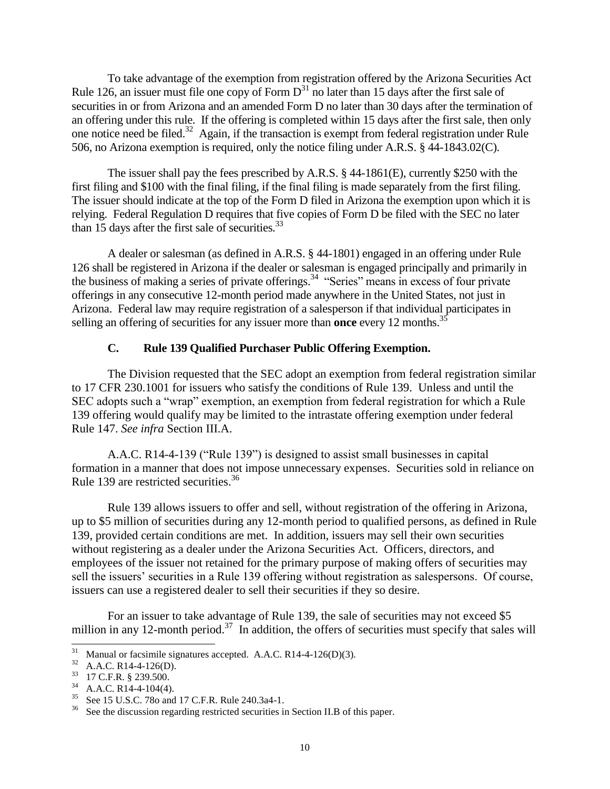To take advantage of the exemption from registration offered by the Arizona Securities Act Rule 126, an issuer must file one copy of Form  $D^{31}$  no later than 15 days after the first sale of securities in or from Arizona and an amended Form D no later than 30 days after the termination of an offering under this rule. If the offering is completed within 15 days after the first sale, then only one notice need be filed.<sup>32</sup> Again, if the transaction is exempt from federal registration under Rule 506, no Arizona exemption is required, only the notice filing under A.R.S. § 44-1843.02(C).

The issuer shall pay the fees prescribed by A.R.S. § 44-1861(E), currently \$250 with the first filing and \$100 with the final filing, if the final filing is made separately from the first filing. The issuer should indicate at the top of the Form D filed in Arizona the exemption upon which it is relying. Federal Regulation D requires that five copies of Form D be filed with the SEC no later than 15 days after the first sale of securities.<sup>33</sup>

A dealer or salesman (as defined in A.R.S. § 44-1801) engaged in an offering under Rule 126 shall be registered in Arizona if the dealer or salesman is engaged principally and primarily in the business of making a series of private offerings.<sup>34</sup> "Series" means in excess of four private offerings in any consecutive 12-month period made anywhere in the United States, not just in Arizona. Federal law may require registration of a salesperson if that individual participates in selling an offering of securities for any issuer more than **once** every 12 months.<sup>35</sup>

#### **C. Rule 139 Qualified Purchaser Public Offering Exemption.**

The Division requested that the SEC adopt an exemption from federal registration similar to 17 CFR 230.1001 for issuers who satisfy the conditions of Rule 139. Unless and until the SEC adopts such a "wrap" exemption, an exemption from federal registration for which a Rule 139 offering would qualify may be limited to the intrastate offering exemption under federal Rule 147. *See infra* Section III.A.

A.A.C. R14-4-139 ("Rule 139") is designed to assist small businesses in capital formation in a manner that does not impose unnecessary expenses. Securities sold in reliance on Rule 139 are restricted securities.<sup>36</sup>

Rule 139 allows issuers to offer and sell, without registration of the offering in Arizona, up to \$5 million of securities during any 12-month period to qualified persons, as defined in Rule 139, provided certain conditions are met. In addition, issuers may sell their own securities without registering as a dealer under the Arizona Securities Act. Officers, directors, and employees of the issuer not retained for the primary purpose of making offers of securities may sell the issuers' securities in a Rule 139 offering without registration as salespersons. Of course, issuers can use a registered dealer to sell their securities if they so desire.

For an issuer to take advantage of Rule 139, the sale of securities may not exceed \$5 million in any 12-month period.<sup>37</sup> In addition, the offers of securities must specify that sales will

 $\overline{a}$  $31$  Manual or facsimile signatures accepted. A.A.C. R14-4-126(D)(3).

 $32$  A.A.C. R14-4-126(D).

<sup>33</sup> 17 C.F.R. § 239.500.

<sup>34</sup> A.A.C. R14-4-104(4).

See 15 U.S.C. 78o and 17 C.F.R. Rule 240.3a4-1.

<sup>&</sup>lt;sup>36</sup> See the discussion regarding restricted securities in Section II.B of this paper.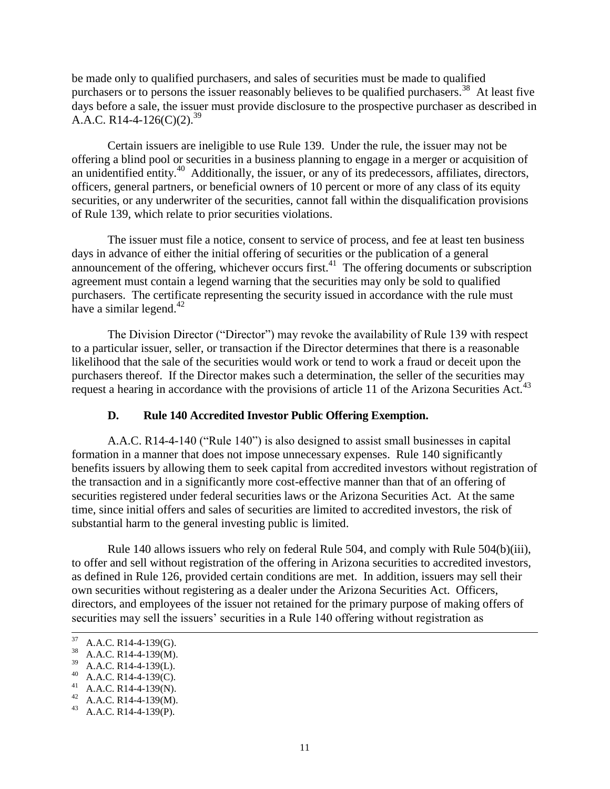be made only to qualified purchasers, and sales of securities must be made to qualified purchasers or to persons the issuer reasonably believes to be qualified purchasers.<sup>38</sup> At least five days before a sale, the issuer must provide disclosure to the prospective purchaser as described in A.A.C. R14-4-126(C)(2).<sup>39</sup>

Certain issuers are ineligible to use Rule 139. Under the rule, the issuer may not be offering a blind pool or securities in a business planning to engage in a merger or acquisition of an unidentified entity.<sup>40</sup> Additionally, the issuer, or any of its predecessors, affiliates, directors, officers, general partners, or beneficial owners of 10 percent or more of any class of its equity securities, or any underwriter of the securities, cannot fall within the disqualification provisions of Rule 139, which relate to prior securities violations.

The issuer must file a notice, consent to service of process, and fee at least ten business days in advance of either the initial offering of securities or the publication of a general announcement of the offering, whichever occurs first. $41$  The offering documents or subscription agreement must contain a legend warning that the securities may only be sold to qualified purchasers. The certificate representing the security issued in accordance with the rule must have a similar legend.<sup>42</sup>

The Division Director ("Director") may revoke the availability of Rule 139 with respect to a particular issuer, seller, or transaction if the Director determines that there is a reasonable likelihood that the sale of the securities would work or tend to work a fraud or deceit upon the purchasers thereof. If the Director makes such a determination, the seller of the securities may request a hearing in accordance with the provisions of article 11 of the Arizona Securities Act.<sup>43</sup>

## **D. Rule 140 Accredited Investor Public Offering Exemption.**

A.A.C. R14-4-140 ("Rule 140") is also designed to assist small businesses in capital formation in a manner that does not impose unnecessary expenses. Rule 140 significantly benefits issuers by allowing them to seek capital from accredited investors without registration of the transaction and in a significantly more cost-effective manner than that of an offering of securities registered under federal securities laws or the Arizona Securities Act. At the same time, since initial offers and sales of securities are limited to accredited investors, the risk of substantial harm to the general investing public is limited.

Rule 140 allows issuers who rely on federal Rule 504, and comply with Rule 504(b)(iii), to offer and sell without registration of the offering in Arizona securities to accredited investors, as defined in Rule 126, provided certain conditions are met. In addition, issuers may sell their own securities without registering as a dealer under the Arizona Securities Act. Officers, directors, and employees of the issuer not retained for the primary purpose of making offers of securities may sell the issuers' securities in a Rule 140 offering without registration as

<sup>37</sup>  $A.A.C. R14-4-139(G).$ 

<sup>38</sup> A.A.C. R14-4-139(M).

<sup>39</sup> A.A.C. R14-4-139(L).

<sup>40</sup> A.A.C. R14-4-139(C).

<sup>41</sup> A.A.C. R14-4-139(N).

<sup>&</sup>lt;sup>42</sup> A.A.C. R14-4-139(M).

A.A.C. R14-4-139(P).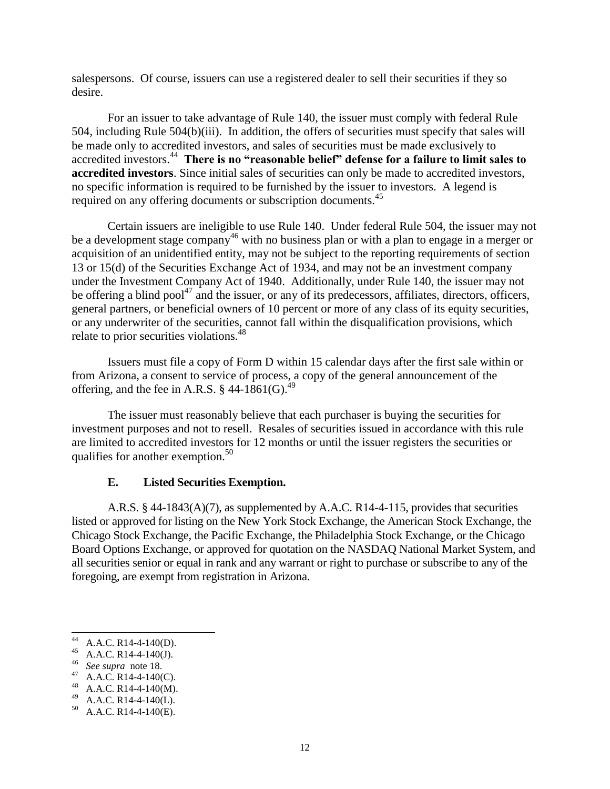salespersons. Of course, issuers can use a registered dealer to sell their securities if they so desire.

For an issuer to take advantage of Rule 140, the issuer must comply with federal Rule 504, including Rule 504(b)(iii). In addition, the offers of securities must specify that sales will be made only to accredited investors, and sales of securities must be made exclusively to accredited investors.<sup>44</sup> There is no "reasonable belief" defense for a failure to limit sales to **accredited investors**. Since initial sales of securities can only be made to accredited investors, no specific information is required to be furnished by the issuer to investors. A legend is required on any offering documents or subscription documents.<sup>45</sup>

Certain issuers are ineligible to use Rule 140. Under federal Rule 504, the issuer may not be a development stage company<sup>46</sup> with no business plan or with a plan to engage in a merger or acquisition of an unidentified entity, may not be subject to the reporting requirements of section 13 or 15(d) of the Securities Exchange Act of 1934, and may not be an investment company under the Investment Company Act of 1940. Additionally, under Rule 140, the issuer may not be offering a blind pool<sup>47</sup> and the issuer, or any of its predecessors, affiliates, directors, officers, general partners, or beneficial owners of 10 percent or more of any class of its equity securities, or any underwriter of the securities, cannot fall within the disqualification provisions, which relate to prior securities violations.<sup>48</sup>

Issuers must file a copy of Form D within 15 calendar days after the first sale within or from Arizona, a consent to service of process, a copy of the general announcement of the offering, and the fee in A.R.S.  $\S$  44-1861(G).<sup>49</sup>

The issuer must reasonably believe that each purchaser is buying the securities for investment purposes and not to resell. Resales of securities issued in accordance with this rule are limited to accredited investors for 12 months or until the issuer registers the securities or qualifies for another exemption.<sup>50</sup>

#### **E. Listed Securities Exemption.**

A.R.S. § 44-1843(A)(7), as supplemented by A.A.C. R14-4-115, provides that securities listed or approved for listing on the New York Stock Exchange, the American Stock Exchange, the Chicago Stock Exchange, the Pacific Exchange, the Philadelphia Stock Exchange, or the Chicago Board Options Exchange, or approved for quotation on the NASDAQ National Market System, and all securities senior or equal in rank and any warrant or right to purchase or subscribe to any of the foregoing, are exempt from registration in Arizona.

 $^{44}$  A.A.C. R14-4-140(D).

<sup>&</sup>lt;sup>45</sup> A.A.C. R14-4-140(J).

<sup>46</sup> *See supra* note 18.

<sup>&</sup>lt;sup>47</sup> A.A.C. R14-4-140(C).

<sup>&</sup>lt;sup>48</sup> A.A.C. R14-4-140(M).

 $^{49}$  A.A.C. R14-4-140(L).

A.A.C. R14-4-140(E).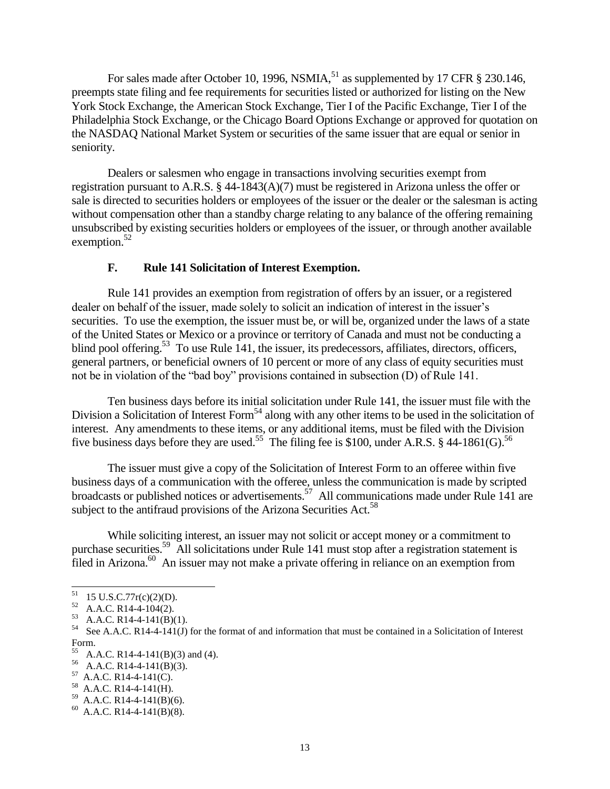For sales made after October 10, 1996, NSMIA, $^{51}$  as supplemented by 17 CFR § 230.146, preempts state filing and fee requirements for securities listed or authorized for listing on the New York Stock Exchange, the American Stock Exchange, Tier I of the Pacific Exchange, Tier I of the Philadelphia Stock Exchange, or the Chicago Board Options Exchange or approved for quotation on the NASDAQ National Market System or securities of the same issuer that are equal or senior in seniority.

Dealers or salesmen who engage in transactions involving securities exempt from registration pursuant to A.R.S. § 44-1843(A)(7) must be registered in Arizona unless the offer or sale is directed to securities holders or employees of the issuer or the dealer or the salesman is acting without compensation other than a standby charge relating to any balance of the offering remaining unsubscribed by existing securities holders or employees of the issuer, or through another available exemption. $52$ 

#### **F. Rule 141 Solicitation of Interest Exemption.**

Rule 141 provides an exemption from registration of offers by an issuer, or a registered dealer on behalf of the issuer, made solely to solicit an indication of interest in the issuer's securities. To use the exemption, the issuer must be, or will be, organized under the laws of a state of the United States or Mexico or a province or territory of Canada and must not be conducting a blind pool offering.<sup>53</sup> To use Rule 141, the issuer, its predecessors, affiliates, directors, officers, general partners, or beneficial owners of 10 percent or more of any class of equity securities must not be in violation of the "bad boy" provisions contained in subsection (D) of Rule 141.

Ten business days before its initial solicitation under Rule 141, the issuer must file with the Division a Solicitation of Interest Form<sup>54</sup> along with any other items to be used in the solicitation of interest. Any amendments to these items, or any additional items, must be filed with the Division five business days before they are used.<sup>55</sup> The filing fee is \$100, under A.R.S. § 44-1861(G).<sup>56</sup>

The issuer must give a copy of the Solicitation of Interest Form to an offeree within five business days of a communication with the offeree, unless the communication is made by scripted broadcasts or published notices or advertisements.<sup>57</sup> All communications made under Rule 141 are subject to the antifraud provisions of the Arizona Securities Act.<sup>58</sup>

While soliciting interest, an issuer may not solicit or accept money or a commitment to purchase securities.<sup>59</sup> All solicitations under Rule 141 must stop after a registration statement is  $\overline{f}$ iled in Arizona.<sup>60</sup> An issuer may not make a private offering in reliance on an exemption from

 $58$  A.A.C. R14-4-141(H).

 $\overline{a}$  $^{51}$  15 U.S.C.77r(c)(2)(D).

 $52$  A.A.C. R14-4-104(2).

<sup>53</sup> A.A.C. R14-4-141(B)(1).

<sup>&</sup>lt;sup>54</sup> See A.A.C. R14-4-141(J) for the format of and information that must be contained in a Solicitation of Interest Form.

<sup>55</sup> A.A.C. R14-4-141(B)(3) and (4).

<sup>56</sup> A.A.C. R14-4-141(B)(3).

 $57$  A.A.C. R14-4-141(C).

 $^{59}$  A.A.C. R14-4-141(B)(6).

 $^{60}$  A.A.C. R14-4-141(B)(8).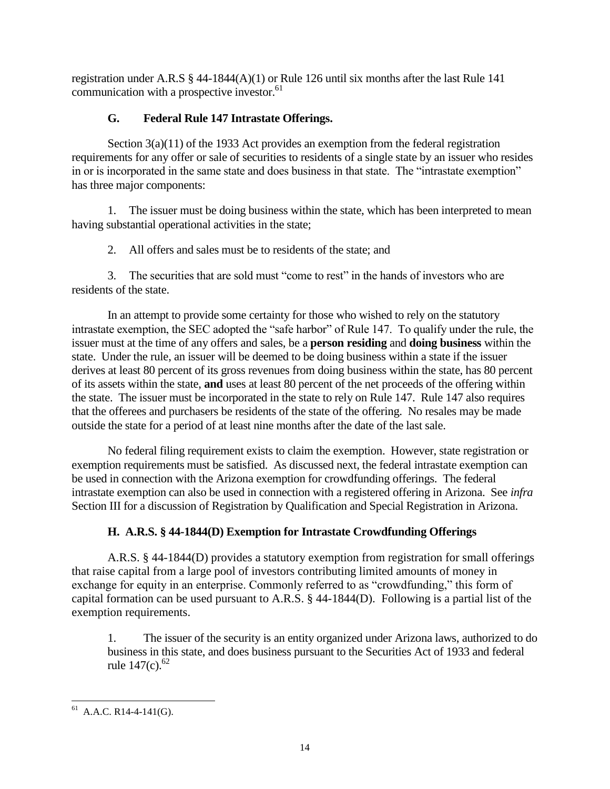registration under A.R.S § 44-1844(A)(1) or Rule 126 until six months after the last Rule 141 communication with a prospective investor.<sup>61</sup>

# **G. Federal Rule 147 Intrastate Offerings.**

Section  $3(a)(11)$  of the 1933 Act provides an exemption from the federal registration requirements for any offer or sale of securities to residents of a single state by an issuer who resides in or is incorporated in the same state and does business in that state. The "intrastate exemption" has three major components:

1. The issuer must be doing business within the state, which has been interpreted to mean having substantial operational activities in the state;

2. All offers and sales must be to residents of the state; and

3. The securities that are sold must "come to rest" in the hands of investors who are residents of the state.

In an attempt to provide some certainty for those who wished to rely on the statutory intrastate exemption, the SEC adopted the "safe harbor" of Rule 147. To qualify under the rule, the issuer must at the time of any offers and sales, be a **person residing** and **doing business** within the state. Under the rule, an issuer will be deemed to be doing business within a state if the issuer derives at least 80 percent of its gross revenues from doing business within the state, has 80 percent of its assets within the state, **and** uses at least 80 percent of the net proceeds of the offering within the state. The issuer must be incorporated in the state to rely on Rule 147. Rule 147 also requires that the offerees and purchasers be residents of the state of the offering. No resales may be made outside the state for a period of at least nine months after the date of the last sale.

No federal filing requirement exists to claim the exemption. However, state registration or exemption requirements must be satisfied. As discussed next, the federal intrastate exemption can be used in connection with the Arizona exemption for crowdfunding offerings. The federal intrastate exemption can also be used in connection with a registered offering in Arizona. See *infra*  Section III for a discussion of Registration by Qualification and Special Registration in Arizona.

# **H. A.R.S. § 44-1844(D) Exemption for Intrastate Crowdfunding Offerings**

A.R.S. § 44-1844(D) provides a statutory exemption from registration for small offerings that raise capital from a large pool of investors contributing limited amounts of money in exchange for equity in an enterprise. Commonly referred to as "crowdfunding," this form of capital formation can be used pursuant to A.R.S. § 44-1844(D). Following is a partial list of the exemption requirements.

1. The issuer of the security is an entity organized under Arizona laws, authorized to do business in this state, and does business pursuant to the Securities Act of 1933 and federal rule  $147(c)$ .<sup>62</sup>

l  $^{61}$  A.A.C. R14-4-141(G).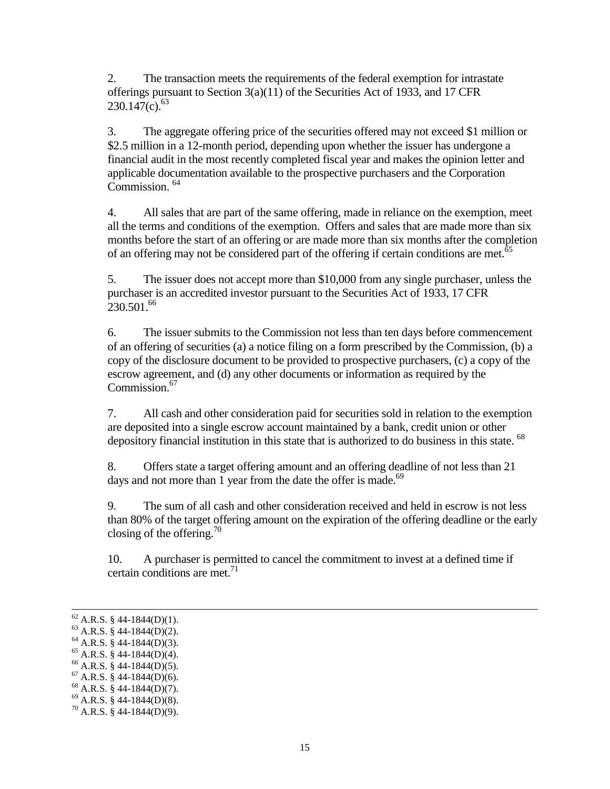2. The transaction meets the requirements of the federal exemption for intrastate offerings pursuant to Section 3(a)(11) of the Securities Act of 1933, and 17 CFR  $230.147(c).$ <sup>63</sup>

3. The aggregate offering price of the securities offered may not exceed \$1 million or \$2.5 million in a 12-month period, depending upon whether the issuer has undergone a financial audit in the most recently completed fiscal year and makes the opinion letter and applicable documentation available to the prospective purchasers and the Corporation Commission.<sup>64</sup>

4. All sales that are part of the same offering, made in reliance on the exemption, meet all the terms and conditions of the exemption. Offers and sales that are made more than six months before the start of an offering or are made more than six months after the completion of an offering may not be considered part of the offering if certain conditions are met.<sup>65</sup>

5. The issuer does not accept more than \$10,000 from any single purchaser, unless the purchaser is an accredited investor pursuant to the Securities Act of 1933, 17 CFR  $230.501^{66}$ 

6. The issuer submits to the Commission not less than ten days before commencement of an offering of securities (a) a notice filing on a form prescribed by the Commission, (b) a copy of the disclosure document to be provided to prospective purchasers, (c) a copy of the escrow agreement, and (d) any other documents or information as required by the Commission.<sup>67</sup>

7. All cash and other consideration paid for securities sold in relation to the exemption are deposited into a single escrow account maintained by a bank, credit union or other depository financial institution in this state that is authorized to do business in this state. <sup>68</sup>

8. Offers state a target offering amount and an offering deadline of not less than 21 days and not more than 1 year from the date the offer is made.<sup>69</sup>

9. The sum of all cash and other consideration received and held in escrow is not less than 80% of the target offering amount on the expiration of the offering deadline or the early closing of the offering.<sup>70</sup>

10. A purchaser is permitted to cancel the commitment to invest at a defined time if certain conditions are met.<sup>71</sup>

l

- $65$  A.R.S. § 44-1844(D)(4).
- $66$  A.R.S. § 44-1844(D)(5).
- $67$  A.R.S. § 44-1844(D)(6).
- $68$  A.R.S. § 44-1844(D)(7).
- $69$  A.R.S. § 44-1844(D)(8).

 $^{62}$  A.R.S. § 44-1844(D)(1).

 $63$  A.R.S. § 44-1844(D)(2).

 $64$  A.R.S. § 44-1844(D)(3).

 $^{70}$  A.R.S. § 44-1844(D)(9).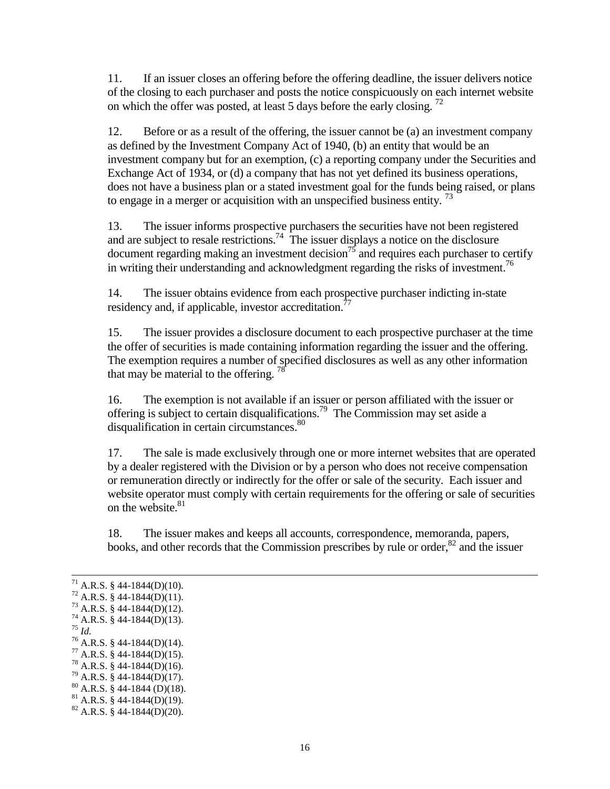11. If an issuer closes an offering before the offering deadline, the issuer delivers notice of the closing to each purchaser and posts the notice conspicuously on each internet website on which the offer was posted, at least 5 days before the early closing.  $^{72}$ 

12. Before or as a result of the offering, the issuer cannot be (a) an investment company as defined by the Investment Company Act of 1940, (b) an entity that would be an investment company but for an exemption, (c) a reporting company under the Securities and Exchange Act of 1934, or (d) a company that has not yet defined its business operations, does not have a business plan or a stated investment goal for the funds being raised, or plans to engage in a merger or acquisition with an unspecified business entity.<sup>73</sup>

13. The issuer informs prospective purchasers the securities have not been registered and are subject to resale restrictions.<sup>74</sup> The issuer displays a notice on the disclosure document regarding making an investment decision<sup>75</sup> and requires each purchaser to certify in writing their understanding and acknowledgment regarding the risks of investment.<sup>76</sup>

14. The issuer obtains evidence from each prospective purchaser indicting in-state residency and, if applicable, investor accreditation.<sup>7</sup>

15. The issuer provides a disclosure document to each prospective purchaser at the time the offer of securities is made containing information regarding the issuer and the offering. The exemption requires a number of specified disclosures as well as any other information that may be material to the offering.<sup>78</sup>

16. The exemption is not available if an issuer or person affiliated with the issuer or offering is subject to certain disqualifications.<sup>79</sup> The Commission may set aside a disqualification in certain circumstances.<sup>80</sup>

17. The sale is made exclusively through one or more internet websites that are operated by a dealer registered with the Division or by a person who does not receive compensation or remuneration directly or indirectly for the offer or sale of the security. Each issuer and website operator must comply with certain requirements for the offering or sale of securities on the website. $81$ 

18. The issuer makes and keeps all accounts, correspondence, memoranda, papers, books, and other records that the Commission prescribes by rule or order,<sup>82</sup> and the issuer

 $71$  A.R.S. § 44-1844(D)(10).

 $72$  A.R.S. § 44-1844(D)(11).

 $^{73}$  A.R.S. § 44-1844(D)(12).

 $74$  A.R.S. § 44-1844(D)(13).

<sup>75</sup> *Id.*

<sup>76</sup> A.R.S. § 44-1844(D)(14).

 $77$  A.R.S. § 44-1844(D)(15).

<sup>78</sup> A.R.S. § 44-1844(D)(16).

 $79$  A.R.S. § 44-1844(D)(17).  $^{80}$  A.R.S. § 44-1844 (D)(18).

 $^{81}$  A.R.S. § 44-1844(D)(19).

 $82$  A.R.S. § 44-1844(D)(20).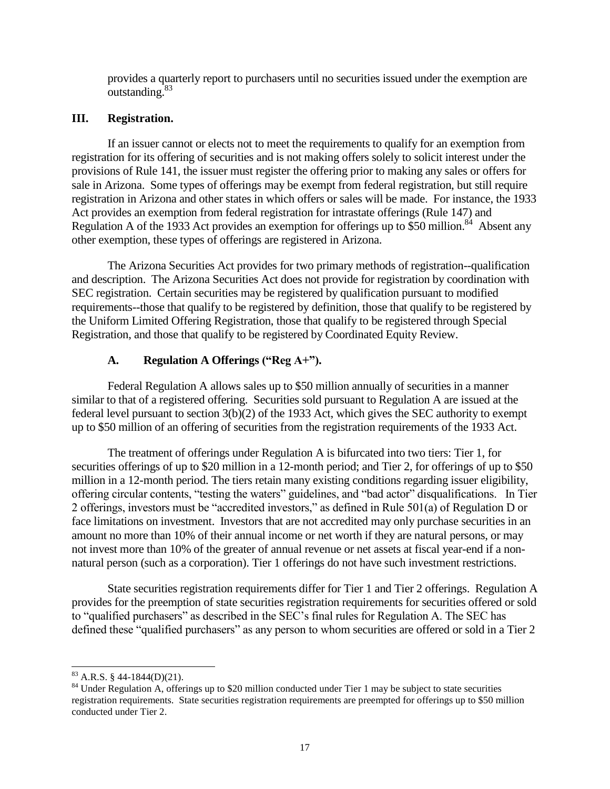provides a quarterly report to purchasers until no securities issued under the exemption are outstanding.<sup>83</sup>

#### **III. Registration.**

If an issuer cannot or elects not to meet the requirements to qualify for an exemption from registration for its offering of securities and is not making offers solely to solicit interest under the provisions of Rule 141, the issuer must register the offering prior to making any sales or offers for sale in Arizona. Some types of offerings may be exempt from federal registration, but still require registration in Arizona and other states in which offers or sales will be made. For instance, the 1933 Act provides an exemption from federal registration for intrastate offerings (Rule 147) and Regulation A of the 1933 Act provides an exemption for offerings up to \$50 million.<sup>84</sup> Absent any other exemption, these types of offerings are registered in Arizona.

The Arizona Securities Act provides for two primary methods of registration--qualification and description. The Arizona Securities Act does not provide for registration by coordination with SEC registration. Certain securities may be registered by qualification pursuant to modified requirements--those that qualify to be registered by definition, those that qualify to be registered by the Uniform Limited Offering Registration, those that qualify to be registered through Special Registration, and those that qualify to be registered by Coordinated Equity Review.

# **A. Regulation A Offerings ("Reg A+").**

Federal Regulation A allows sales up to \$50 million annually of securities in a manner similar to that of a registered offering. Securities sold pursuant to Regulation A are issued at the federal level pursuant to section 3(b)(2) of the 1933 Act, which gives the SEC authority to exempt up to \$50 million of an offering of securities from the registration requirements of the 1933 Act.

The treatment of offerings under Regulation A is bifurcated into two tiers: Tier 1, for securities offerings of up to \$20 million in a 12-month period; and Tier 2, for offerings of up to \$50 million in a 12-month period. The tiers retain many existing conditions regarding issuer eligibility, offering circular contents, "testing the waters" guidelines, and "bad actor" disqualifications. In Tier 2 offerings, investors must be "accredited investors," as defined in Rule 501(a) of Regulation D or face limitations on investment. Investors that are not accredited may only purchase securities in an amount no more than 10% of their annual income or net worth if they are natural persons, or may not invest more than 10% of the greater of annual revenue or net assets at fiscal year-end if a nonnatural person (such as a corporation). Tier 1 offerings do not have such investment restrictions.

State securities registration requirements differ for Tier 1 and Tier 2 offerings. Regulation A provides for the preemption of state securities registration requirements for securities offered or sold to "qualified purchasers" as described in the SEC's final rules for Regulation A. The SEC has defined these "qualified purchasers" as any person to whom securities are offered or sold in a Tier 2

 $83$  A.R.S. § 44-1844(D)(21).

<sup>&</sup>lt;sup>84</sup> Under Regulation A, offerings up to \$20 million conducted under Tier 1 may be subject to state securities registration requirements. State securities registration requirements are preempted for offerings up to \$50 million conducted under Tier 2.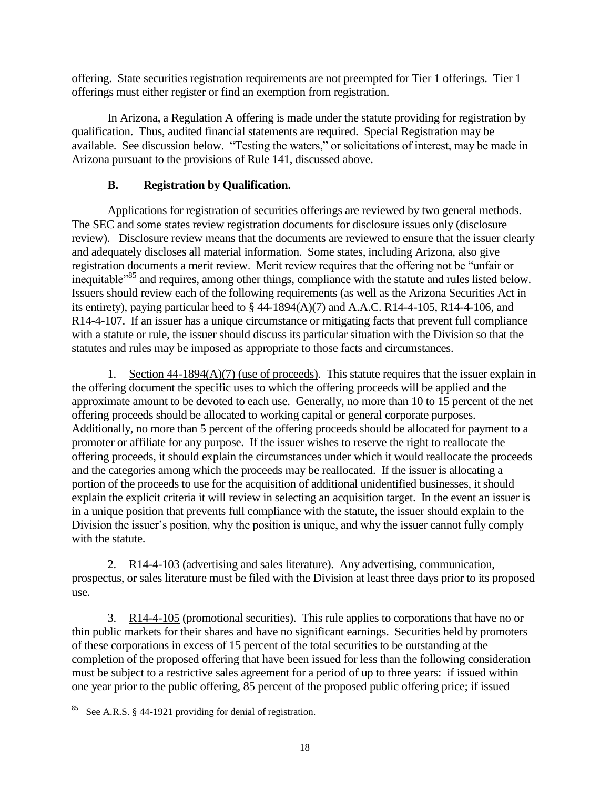offering. State securities registration requirements are not preempted for Tier 1 offerings. Tier 1 offerings must either register or find an exemption from registration.

In Arizona, a Regulation A offering is made under the statute providing for registration by qualification. Thus, audited financial statements are required. Special Registration may be available. See discussion below. "Testing the waters," or solicitations of interest, may be made in Arizona pursuant to the provisions of Rule 141, discussed above.

# **B. Registration by Qualification.**

Applications for registration of securities offerings are reviewed by two general methods. The SEC and some states review registration documents for disclosure issues only (disclosure review). Disclosure review means that the documents are reviewed to ensure that the issuer clearly and adequately discloses all material information. Some states, including Arizona, also give registration documents a merit review. Merit review requires that the offering not be "unfair or inequitable"<sup>85</sup> and requires, among other things, compliance with the statute and rules listed below. Issuers should review each of the following requirements (as well as the Arizona Securities Act in its entirety), paying particular heed to  $\S$  44-1894(A)(7) and A.A.C. R14-4-105, R14-4-106, and R14-4-107. If an issuer has a unique circumstance or mitigating facts that prevent full compliance with a statute or rule, the issuer should discuss its particular situation with the Division so that the statutes and rules may be imposed as appropriate to those facts and circumstances.

1. Section 44-1894(A)(7) (use of proceeds). This statute requires that the issuer explain in the offering document the specific uses to which the offering proceeds will be applied and the approximate amount to be devoted to each use. Generally, no more than 10 to 15 percent of the net offering proceeds should be allocated to working capital or general corporate purposes. Additionally, no more than 5 percent of the offering proceeds should be allocated for payment to a promoter or affiliate for any purpose. If the issuer wishes to reserve the right to reallocate the offering proceeds, it should explain the circumstances under which it would reallocate the proceeds and the categories among which the proceeds may be reallocated. If the issuer is allocating a portion of the proceeds to use for the acquisition of additional unidentified businesses, it should explain the explicit criteria it will review in selecting an acquisition target. In the event an issuer is in a unique position that prevents full compliance with the statute, the issuer should explain to the Division the issuer's position, why the position is unique, and why the issuer cannot fully comply with the statute.

2. R14-4-103 (advertising and sales literature). Any advertising, communication, prospectus, or sales literature must be filed with the Division at least three days prior to its proposed use.

3. R14-4-105 (promotional securities). This rule applies to corporations that have no or thin public markets for their shares and have no significant earnings. Securities held by promoters of these corporations in excess of 15 percent of the total securities to be outstanding at the completion of the proposed offering that have been issued for less than the following consideration must be subject to a restrictive sales agreement for a period of up to three years: if issued within one year prior to the public offering, 85 percent of the proposed public offering price; if issued

l See A.R.S. § 44-1921 providing for denial of registration.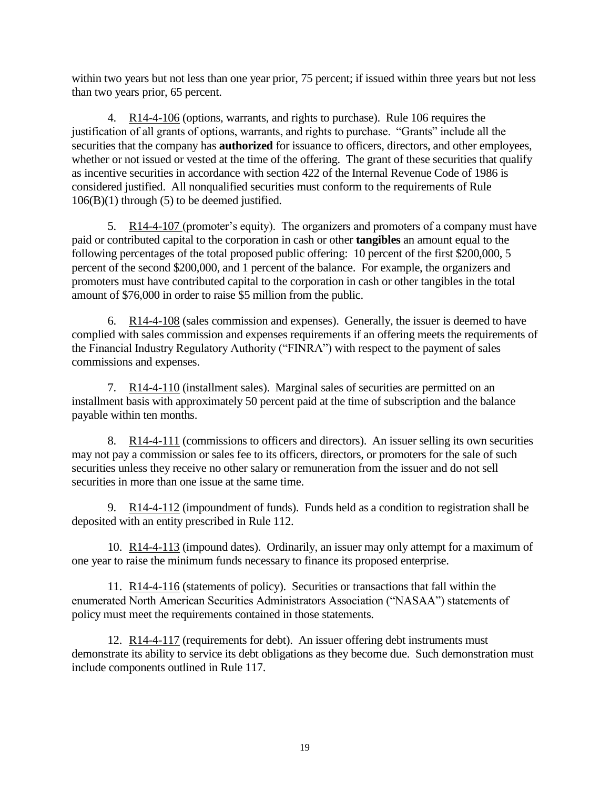within two years but not less than one year prior, 75 percent; if issued within three years but not less than two years prior, 65 percent.

4. R14-4-106 (options, warrants, and rights to purchase). Rule 106 requires the justification of all grants of options, warrants, and rights to purchase. "Grants" include all the securities that the company has **authorized** for issuance to officers, directors, and other employees, whether or not issued or vested at the time of the offering. The grant of these securities that qualify as incentive securities in accordance with section 422 of the Internal Revenue Code of 1986 is considered justified. All nonqualified securities must conform to the requirements of Rule  $106(B)(1)$  through (5) to be deemed justified.

5. R14-4-107 (promoter's equity). The organizers and promoters of a company must have paid or contributed capital to the corporation in cash or other **tangibles** an amount equal to the following percentages of the total proposed public offering: 10 percent of the first \$200,000, 5 percent of the second \$200,000, and 1 percent of the balance. For example, the organizers and promoters must have contributed capital to the corporation in cash or other tangibles in the total amount of \$76,000 in order to raise \$5 million from the public.

6. R14-4-108 (sales commission and expenses). Generally, the issuer is deemed to have complied with sales commission and expenses requirements if an offering meets the requirements of the Financial Industry Regulatory Authority ("FINRA") with respect to the payment of sales commissions and expenses.

7. R14-4-110 (installment sales). Marginal sales of securities are permitted on an installment basis with approximately 50 percent paid at the time of subscription and the balance payable within ten months.

8. R14-4-111 (commissions to officers and directors). An issuer selling its own securities may not pay a commission or sales fee to its officers, directors, or promoters for the sale of such securities unless they receive no other salary or remuneration from the issuer and do not sell securities in more than one issue at the same time.

9. R14-4-112 (impoundment of funds). Funds held as a condition to registration shall be deposited with an entity prescribed in Rule 112.

10. R14-4-113 (impound dates). Ordinarily, an issuer may only attempt for a maximum of one year to raise the minimum funds necessary to finance its proposed enterprise.

11. R14-4-116 (statements of policy). Securities or transactions that fall within the enumerated North American Securities Administrators Association ("NASAA") statements of policy must meet the requirements contained in those statements.

12. R14-4-117 (requirements for debt). An issuer offering debt instruments must demonstrate its ability to service its debt obligations as they become due. Such demonstration must include components outlined in Rule 117.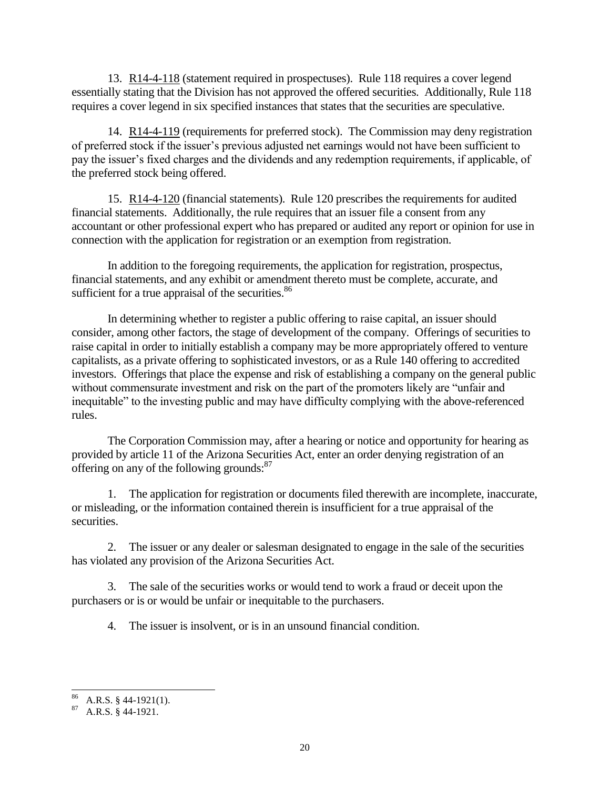13. R14-4-118 (statement required in prospectuses). Rule 118 requires a cover legend essentially stating that the Division has not approved the offered securities. Additionally, Rule 118 requires a cover legend in six specified instances that states that the securities are speculative.

14. R14-4-119 (requirements for preferred stock). The Commission may deny registration of preferred stock if the issuer's previous adjusted net earnings would not have been sufficient to pay the issuer's fixed charges and the dividends and any redemption requirements, if applicable, of the preferred stock being offered.

15. R14-4-120 (financial statements). Rule 120 prescribes the requirements for audited financial statements. Additionally, the rule requires that an issuer file a consent from any accountant or other professional expert who has prepared or audited any report or opinion for use in connection with the application for registration or an exemption from registration.

In addition to the foregoing requirements, the application for registration, prospectus, financial statements, and any exhibit or amendment thereto must be complete, accurate, and sufficient for a true appraisal of the securities.<sup>86</sup>

In determining whether to register a public offering to raise capital, an issuer should consider, among other factors, the stage of development of the company. Offerings of securities to raise capital in order to initially establish a company may be more appropriately offered to venture capitalists, as a private offering to sophisticated investors, or as a Rule 140 offering to accredited investors. Offerings that place the expense and risk of establishing a company on the general public without commensurate investment and risk on the part of the promoters likely are "unfair and inequitable" to the investing public and may have difficulty complying with the above-referenced rules.

The Corporation Commission may, after a hearing or notice and opportunity for hearing as provided by article 11 of the Arizona Securities Act, enter an order denying registration of an offering on any of the following grounds:<sup>87</sup>

1. The application for registration or documents filed therewith are incomplete, inaccurate, or misleading, or the information contained therein is insufficient for a true appraisal of the securities.

2. The issuer or any dealer or salesman designated to engage in the sale of the securities has violated any provision of the Arizona Securities Act.

3. The sale of the securities works or would tend to work a fraud or deceit upon the purchasers or is or would be unfair or inequitable to the purchasers.

4. The issuer is insolvent, or is in an unsound financial condition.

 $\overline{a}$  $^{86}$  A.R.S. § 44-1921(1).

 $87$  A.R.S.  $\frac{8}{9}$  44-1921.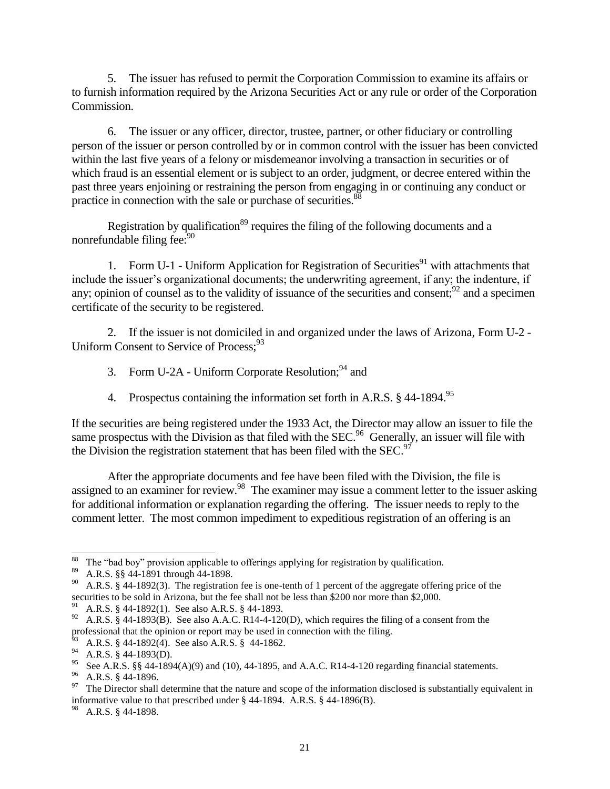5. The issuer has refused to permit the Corporation Commission to examine its affairs or to furnish information required by the Arizona Securities Act or any rule or order of the Corporation Commission.

6. The issuer or any officer, director, trustee, partner, or other fiduciary or controlling person of the issuer or person controlled by or in common control with the issuer has been convicted within the last five years of a felony or misdemeanor involving a transaction in securities or of which fraud is an essential element or is subject to an order, judgment, or decree entered within the past three years enjoining or restraining the person from engaging in or continuing any conduct or practice in connection with the sale or purchase of securities.<sup>8</sup>

Registration by qualification<sup>89</sup> requires the filing of the following documents and a nonrefundable filing fee:<sup>90</sup>

1. Form U-1 - Uniform Application for Registration of Securities<sup>91</sup> with attachments that include the issuer's organizational documents; the underwriting agreement, if any; the indenture, if any; opinion of counsel as to the validity of issuance of the securities and consent;  $^{92}$  and a specimen certificate of the security to be registered.

2. If the issuer is not domiciled in and organized under the laws of Arizona, Form U-2 - Uniform Consent to Service of Process:<sup>93</sup>

- 3. Form U-2A Uniform Corporate Resolution;  $94$  and
- 4. Prospectus containing the information set forth in A.R.S. § 44-1894.<sup>95</sup>

If the securities are being registered under the 1933 Act, the Director may allow an issuer to file the same prospectus with the Division as that filed with the SEC.<sup>96</sup> Generally, an issuer will file with the Division the registration statement that has been filed with the SEC.<sup>97</sup>

After the appropriate documents and fee have been filed with the Division, the file is assigned to an examiner for review.<sup>98</sup> The examiner may issue a comment letter to the issuer asking for additional information or explanation regarding the offering. The issuer needs to reply to the comment letter. The most common impediment to expeditious registration of an offering is an

 $\overline{a}$  $88$  The "bad boy" provision applicable to offerings applying for registration by qualification.

<sup>89</sup> A.R.S. §§ 44-1891 through 44-1898.

<sup>&</sup>lt;sup>90</sup> A.R.S. § 44-1892(3). The registration fee is one-tenth of 1 percent of the aggregate offering price of the securities to be sold in Arizona, but the fee shall not be less than \$200 nor more than \$2,000.

A.R.S. § 44-1892(1). See also A.R.S. § 44-1893.

<sup>&</sup>lt;sup>92</sup> A.R.S. § 44-1893(B). See also A.A.C. R14-4-120(D), which requires the filing of a consent from the professional that the opinion or report may be used in connection with the filing.

 $^{63}$  A.R.S. § 44-1892(4). See also A.R.S. § 44-1862.

 $^{94}$  A.R.S. § 44-1893(D).

<sup>&</sup>lt;sup>95</sup> See A.R.S. §§ 44-1894(A)(9) and (10), 44-1895, and A.A.C. R14-4-120 regarding financial statements.

<sup>96</sup> A.R.S. § 44-1896.

 $97$  The Director shall determine that the nature and scope of the information disclosed is substantially equivalent in informative value to that prescribed under § 44-1894. A.R.S. § 44-1896(B).

 $^{98}$  A.R.S. § 44-1898.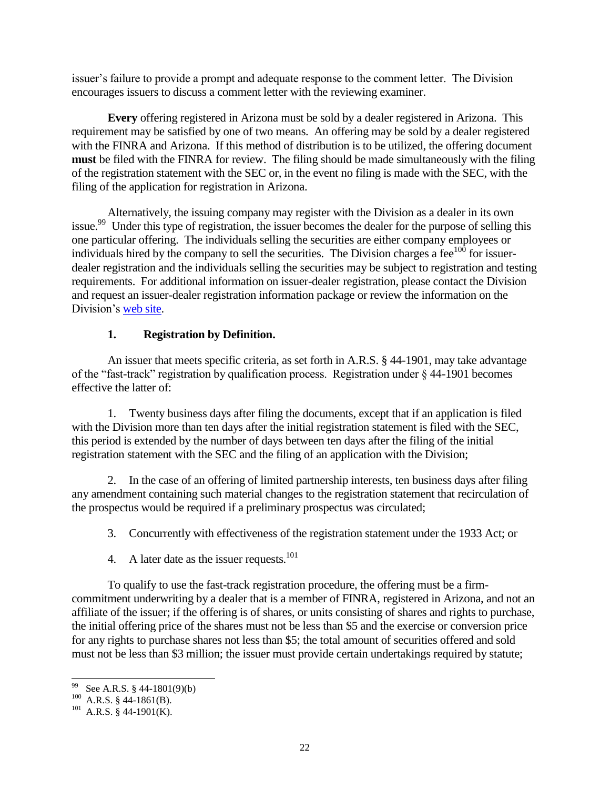issuer's failure to provide a prompt and adequate response to the comment letter. The Division encourages issuers to discuss a comment letter with the reviewing examiner.

**Every** offering registered in Arizona must be sold by a dealer registered in Arizona. This requirement may be satisfied by one of two means. An offering may be sold by a dealer registered with the FINRA and Arizona. If this method of distribution is to be utilized, the offering document **must** be filed with the FINRA for review. The filing should be made simultaneously with the filing of the registration statement with the SEC or, in the event no filing is made with the SEC, with the filing of the application for registration in Arizona.

Alternatively, the issuing company may register with the Division as a dealer in its own issue.<sup>99</sup> Under this type of registration, the issuer becomes the dealer for the purpose of selling this one particular offering. The individuals selling the securities are either company employees or individuals hired by the company to sell the securities. The Division charges a fee $100$  for issuerdealer registration and the individuals selling the securities may be subject to registration and testing requirements. For additional information on issuer-dealer registration, please contact the Division and request an issuer-dealer registration information package or review the information on the Division's [web site.](http://www.azcc.gov/divisions/securities/licensing_and_registration/reg-dealer.asp)

## **1. Registration by Definition.**

An issuer that meets specific criteria, as set forth in A.R.S. § 44-1901, may take advantage of the "fast-track" registration by qualification process. Registration under § 44-1901 becomes effective the latter of:

1. Twenty business days after filing the documents, except that if an application is filed with the Division more than ten days after the initial registration statement is filed with the SEC, this period is extended by the number of days between ten days after the filing of the initial registration statement with the SEC and the filing of an application with the Division;

2. In the case of an offering of limited partnership interests, ten business days after filing any amendment containing such material changes to the registration statement that recirculation of the prospectus would be required if a preliminary prospectus was circulated;

- 3. Concurrently with effectiveness of the registration statement under the 1933 Act; or
- 4. A later date as the issuer requests.<sup>101</sup>

To qualify to use the fast-track registration procedure, the offering must be a firmcommitment underwriting by a dealer that is a member of FINRA, registered in Arizona, and not an affiliate of the issuer; if the offering is of shares, or units consisting of shares and rights to purchase, the initial offering price of the shares must not be less than \$5 and the exercise or conversion price for any rights to purchase shares not less than \$5; the total amount of securities offered and sold must not be less than \$3 million; the issuer must provide certain undertakings required by statute;

 99 See A.R.S. § 44-1801(9)(b)

 $^{100}$  A.R.S. § 44-1861(B).

 $101$  A.R.S. § 44-1901(K).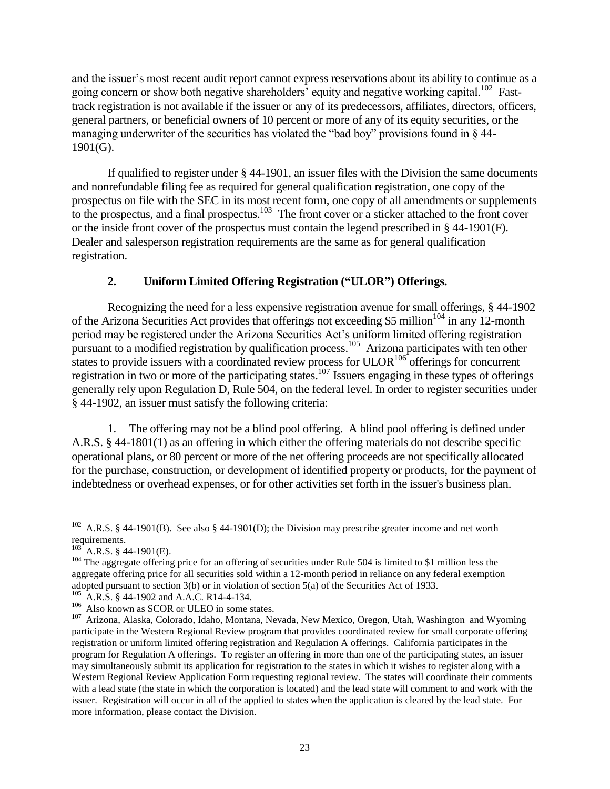and the issuer's most recent audit report cannot express reservations about its ability to continue as a going concern or show both negative shareholders' equity and negative working capital.<sup>102</sup> Fasttrack registration is not available if the issuer or any of its predecessors, affiliates, directors, officers, general partners, or beneficial owners of 10 percent or more of any of its equity securities, or the managing underwriter of the securities has violated the "bad boy" provisions found in § 44- 1901(G).

If qualified to register under  $\S$  44-1901, an issuer files with the Division the same documents and nonrefundable filing fee as required for general qualification registration, one copy of the prospectus on file with the SEC in its most recent form, one copy of all amendments or supplements to the prospectus, and a final prospectus.<sup>103</sup> The front cover or a sticker attached to the front cover or the inside front cover of the prospectus must contain the legend prescribed in § 44-1901(F). Dealer and salesperson registration requirements are the same as for general qualification registration.

# **2. Uniform Limited Offering Registration ("ULOR") Offerings.**

Recognizing the need for a less expensive registration avenue for small offerings, § 44-1902 of the Arizona Securities Act provides that offerings not exceeding \$5 million<sup>104</sup> in any 12-month period may be registered under the Arizona Securities Act's uniform limited offering registration pursuant to a modified registration by qualification process.<sup>105</sup> Arizona participates with ten other states to provide issuers with a coordinated review process for  $ULOR<sup>106</sup>$  offerings for concurrent registration in two or more of the participating states.<sup>107</sup> Issuers engaging in these types of offerings generally rely upon Regulation D, Rule 504, on the federal level. In order to register securities under § 44-1902, an issuer must satisfy the following criteria:

1. The offering may not be a blind pool offering. A blind pool offering is defined under A.R.S. § 44-1801(1) as an offering in which either the offering materials do not describe specific operational plans, or 80 percent or more of the net offering proceeds are not specifically allocated for the purchase, construction, or development of identified property or products, for the payment of indebtedness or overhead expenses, or for other activities set forth in the issuer's business plan.

 $\overline{a}$ <sup>102</sup> A.R.S. § 44-1901(B). See also § 44-1901(D); the Division may prescribe greater income and net worth requirements.

 $^{103}$  A.R.S. § 44-1901(E).

<sup>104</sup> The aggregate offering price for an offering of securities under Rule 504 is limited to \$1 million less the aggregate offering price for all securities sold within a 12-month period in reliance on any federal exemption adopted pursuant to section 3(b) or in violation of section 5(a) of the Securities Act of 1933.

A.R.S. § 44-1902 and A.A.C. R14-4-134.

<sup>&</sup>lt;sup>106</sup> Also known as SCOR or ULEO in some states.

<sup>107</sup> Arizona, Alaska, Colorado, Idaho, Montana, Nevada, New Mexico, Oregon, Utah, Washington and Wyoming participate in the Western Regional Review program that provides coordinated review for small corporate offering registration or uniform limited offering registration and Regulation A offerings. California participates in the program for Regulation A offerings. To register an offering in more than one of the participating states, an issuer may simultaneously submit its application for registration to the states in which it wishes to register along with a Western Regional Review Application Form requesting regional review. The states will coordinate their comments with a lead state (the state in which the corporation is located) and the lead state will comment to and work with the issuer. Registration will occur in all of the applied to states when the application is cleared by the lead state. For more information, please contact the Division.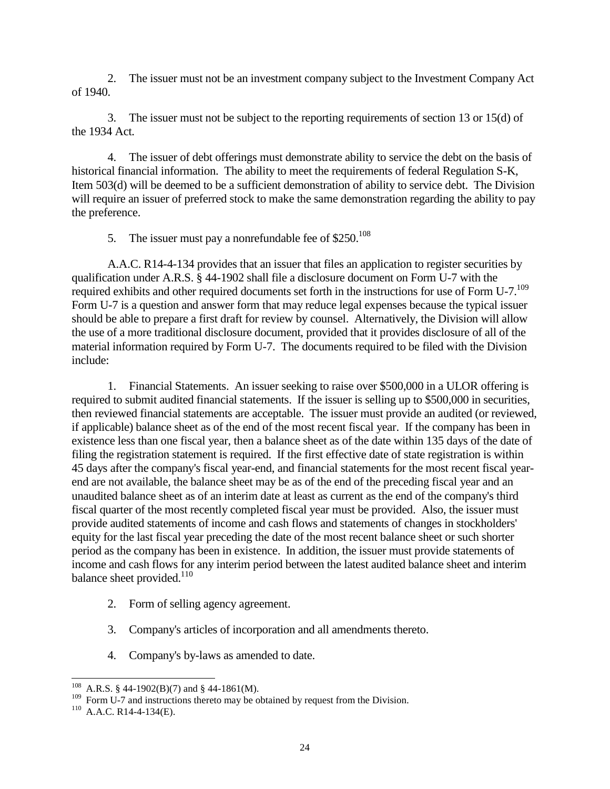2. The issuer must not be an investment company subject to the Investment Company Act of 1940.

3. The issuer must not be subject to the reporting requirements of section 13 or 15(d) of the 1934 Act.

4. The issuer of debt offerings must demonstrate ability to service the debt on the basis of historical financial information. The ability to meet the requirements of federal Regulation S-K, Item 503(d) will be deemed to be a sufficient demonstration of ability to service debt. The Division will require an issuer of preferred stock to make the same demonstration regarding the ability to pay the preference.

5. The issuer must pay a nonrefundable fee of  $$250.<sup>108</sup>$ 

A.A.C. R14-4-134 provides that an issuer that files an application to register securities by qualification under A.R.S. § 44-1902 shall file a disclosure document on Form U-7 with the required exhibits and other required documents set forth in the instructions for use of Form U-7.<sup>109</sup> Form U-7 is a question and answer form that may reduce legal expenses because the typical issuer should be able to prepare a first draft for review by counsel. Alternatively, the Division will allow the use of a more traditional disclosure document, provided that it provides disclosure of all of the material information required by Form U-7. The documents required to be filed with the Division include:

1. Financial Statements. An issuer seeking to raise over \$500,000 in a ULOR offering is required to submit audited financial statements. If the issuer is selling up to \$500,000 in securities, then reviewed financial statements are acceptable. The issuer must provide an audited (or reviewed, if applicable) balance sheet as of the end of the most recent fiscal year. If the company has been in existence less than one fiscal year, then a balance sheet as of the date within 135 days of the date of filing the registration statement is required. If the first effective date of state registration is within 45 days after the company's fiscal year-end, and financial statements for the most recent fiscal yearend are not available, the balance sheet may be as of the end of the preceding fiscal year and an unaudited balance sheet as of an interim date at least as current as the end of the company's third fiscal quarter of the most recently completed fiscal year must be provided. Also, the issuer must provide audited statements of income and cash flows and statements of changes in stockholders' equity for the last fiscal year preceding the date of the most recent balance sheet or such shorter period as the company has been in existence. In addition, the issuer must provide statements of income and cash flows for any interim period between the latest audited balance sheet and interim balance sheet provided. $110$ 

- 2. Form of selling agency agreement.
- 3. Company's articles of incorporation and all amendments thereto.
- 4. Company's by-laws as amended to date.

l <sup>108</sup> A.R.S. § 44-1902(B)(7) and § 44-1861(M).

 $109$  Form U-7 and instructions thereto may be obtained by request from the Division.

 $110$  A.A.C. R14-4-134(E).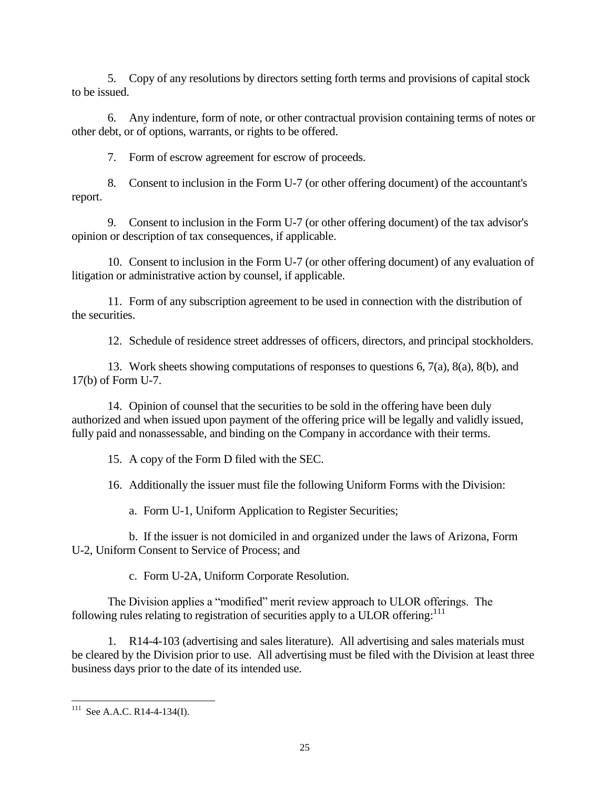5. Copy of any resolutions by directors setting forth terms and provisions of capital stock to be issued.

6. Any indenture, form of note, or other contractual provision containing terms of notes or other debt, or of options, warrants, or rights to be offered.

7. Form of escrow agreement for escrow of proceeds.

8. Consent to inclusion in the Form U-7 (or other offering document) of the accountant's report.

9. Consent to inclusion in the Form U-7 (or other offering document) of the tax advisor's opinion or description of tax consequences, if applicable.

10. Consent to inclusion in the Form U-7 (or other offering document) of any evaluation of litigation or administrative action by counsel, if applicable.

11. Form of any subscription agreement to be used in connection with the distribution of the securities.

12. Schedule of residence street addresses of officers, directors, and principal stockholders.

13. Work sheets showing computations of responses to questions 6, 7(a), 8(a), 8(b), and 17(b) of Form U-7.

14. Opinion of counsel that the securities to be sold in the offering have been duly authorized and when issued upon payment of the offering price will be legally and validly issued, fully paid and nonassessable, and binding on the Company in accordance with their terms.

15. A copy of the Form D filed with the SEC.

16. Additionally the issuer must file the following Uniform Forms with the Division:

a. Form U-1, Uniform Application to Register Securities;

b. If the issuer is not domiciled in and organized under the laws of Arizona, Form U-2, Uniform Consent to Service of Process; and

c. Form U-2A, Uniform Corporate Resolution.

The Division applies a "modified" merit review approach to ULOR offerings. The following rules relating to registration of securities apply to a ULOR offering: $^{111}$ 

1. R14-4-103 (advertising and sales literature). All advertising and sales materials must be cleared by the Division prior to use. All advertising must be filed with the Division at least three business days prior to the date of its intended use.

l  $111$  See A.A.C. R14-4-134(I).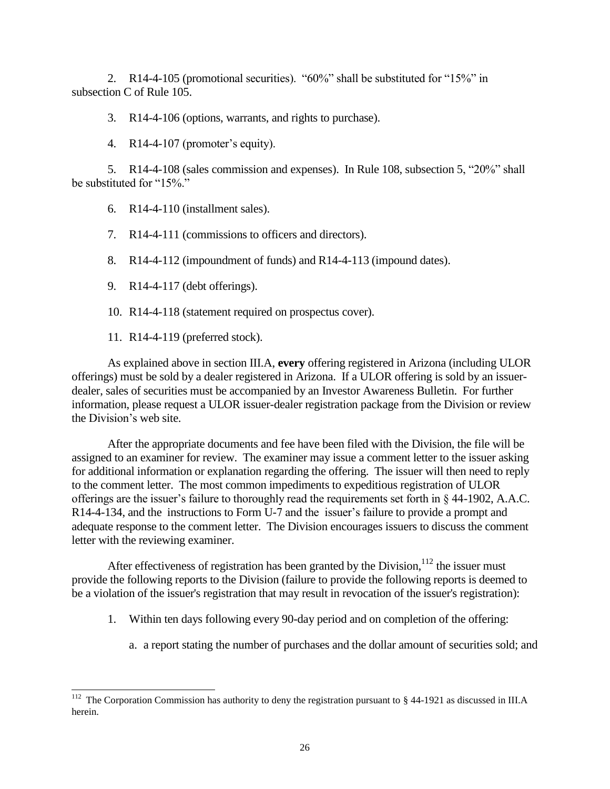2. R14-4-105 (promotional securities). "60%" shall be substituted for "15%" in subsection C of Rule 105.

3. R14-4-106 (options, warrants, and rights to purchase).

4. R14-4-107 (promoter's equity).

5. R14-4-108 (sales commission and expenses). In Rule 108, subsection 5, "20%" shall be substituted for "15%."

6. R14-4-110 (installment sales).

7. R14-4-111 (commissions to officers and directors).

8. R14-4-112 (impoundment of funds) and R14-4-113 (impound dates).

9. R14-4-117 (debt offerings).

10. R14-4-118 (statement required on prospectus cover).

11. R14-4-119 (preferred stock).

 $\overline{a}$ 

As explained above in section III.A, **every** offering registered in Arizona (including ULOR offerings) must be sold by a dealer registered in Arizona. If a ULOR offering is sold by an issuerdealer, sales of securities must be accompanied by an Investor Awareness Bulletin. For further information, please request a ULOR issuer-dealer registration package from the Division or review the Division's web site.

After the appropriate documents and fee have been filed with the Division, the file will be assigned to an examiner for review. The examiner may issue a comment letter to the issuer asking for additional information or explanation regarding the offering. The issuer will then need to reply to the comment letter. The most common impediments to expeditious registration of ULOR offerings are the issuer's failure to thoroughly read the requirements set forth in § 44-1902, A.A.C. R14-4-134, and the instructions to Form U-7 and the issuer's failure to provide a prompt and adequate response to the comment letter. The Division encourages issuers to discuss the comment letter with the reviewing examiner.

After effectiveness of registration has been granted by the Division,  $112$  the issuer must provide the following reports to the Division (failure to provide the following reports is deemed to be a violation of the issuer's registration that may result in revocation of the issuer's registration):

- 1. Within ten days following every 90-day period and on completion of the offering:
	- a. a report stating the number of purchases and the dollar amount of securities sold; and

<sup>&</sup>lt;sup>112</sup> The Corporation Commission has authority to deny the registration pursuant to  $\S$  44-1921 as discussed in III.A herein.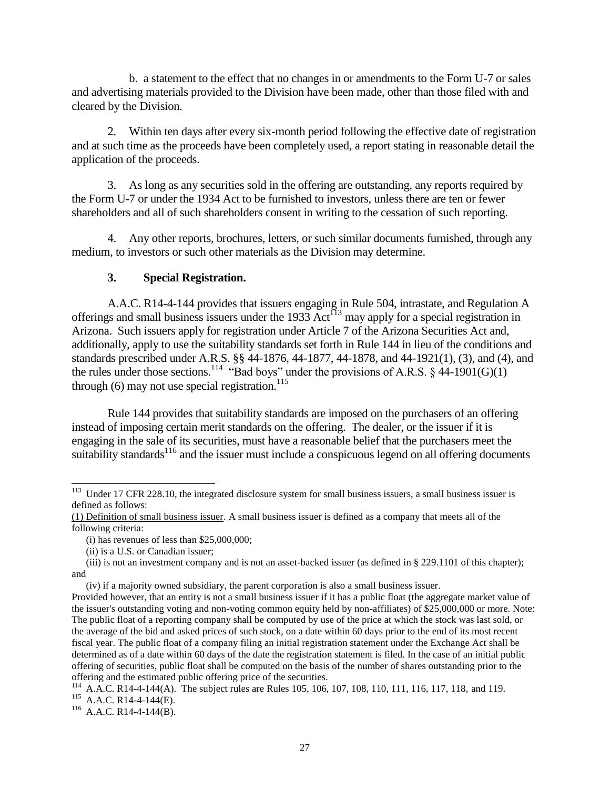b. a statement to the effect that no changes in or amendments to the Form U-7 or sales and advertising materials provided to the Division have been made, other than those filed with and cleared by the Division.

2. Within ten days after every six-month period following the effective date of registration and at such time as the proceeds have been completely used, a report stating in reasonable detail the application of the proceeds.

3. As long as any securities sold in the offering are outstanding, any reports required by the Form U-7 or under the 1934 Act to be furnished to investors, unless there are ten or fewer shareholders and all of such shareholders consent in writing to the cessation of such reporting.

4. Any other reports, brochures, letters, or such similar documents furnished, through any medium, to investors or such other materials as the Division may determine.

#### **3. Special Registration.**

A.A.C. R14-4-144 provides that issuers engaging in Rule 504, intrastate, and Regulation A offerings and small business issuers under the 1933 Act<sup>113</sup> may apply for a special registration in Arizona. Such issuers apply for registration under Article 7 of the Arizona Securities Act and, additionally, apply to use the suitability standards set forth in Rule 144 in lieu of the conditions and standards prescribed under A.R.S. §§ 44-1876, 44-1877, 44-1878, and 44-1921(1), (3), and (4), and the rules under those sections.<sup>114</sup> "Bad boys" under the provisions of A.R.S. § 44-1901(G)(1) through  $(6)$  may not use special registration.<sup>115</sup>

Rule 144 provides that suitability standards are imposed on the purchasers of an offering instead of imposing certain merit standards on the offering. The dealer, or the issuer if it is engaging in the sale of its securities, must have a reasonable belief that the purchasers meet the suitability standards<sup>116</sup> and the issuer must include a conspicuous legend on all offering documents

 $113$  Under 17 CFR 228.10, the integrated disclosure system for small business issuers, a small business issuer is defined as follows:

<sup>(1)</sup> Definition of small business issuer. A small business issuer is defined as a company that meets all of the following criteria:

<sup>(</sup>i) has revenues of less than \$25,000,000;

<sup>(</sup>ii) is a U.S. or Canadian issuer;

<sup>(</sup>iii) is not an investment company and is not an asset-backed issuer (as defined in § 229.1101 of this chapter); and

<sup>(</sup>iv) if a majority owned subsidiary, the parent corporation is also a small business issuer.

Provided however, that an entity is not a small business issuer if it has a public float (the aggregate market value of the issuer's outstanding voting and non-voting common equity held by non-affiliates) of \$25,000,000 or more. Note: The public float of a reporting company shall be computed by use of the price at which the stock was last sold, or the average of the bid and asked prices of such stock, on a date within 60 days prior to the end of its most recent fiscal year. The public float of a company filing an initial registration statement under the Exchange Act shall be determined as of a date within 60 days of the date the registration statement is filed. In the case of an initial public offering of securities, public float shall be computed on the basis of the number of shares outstanding prior to the offering and the estimated public offering price of the securities.

<sup>114</sup> A.A.C. R14-4-144(A). The subject rules are Rules 105, 106, 107, 108, 110, 111, 116, 117, 118, and 119.  $115$  A.A.C. R14-4-144(E).

<sup>&</sup>lt;sup>116</sup> A.A.C. R14-4-144(B).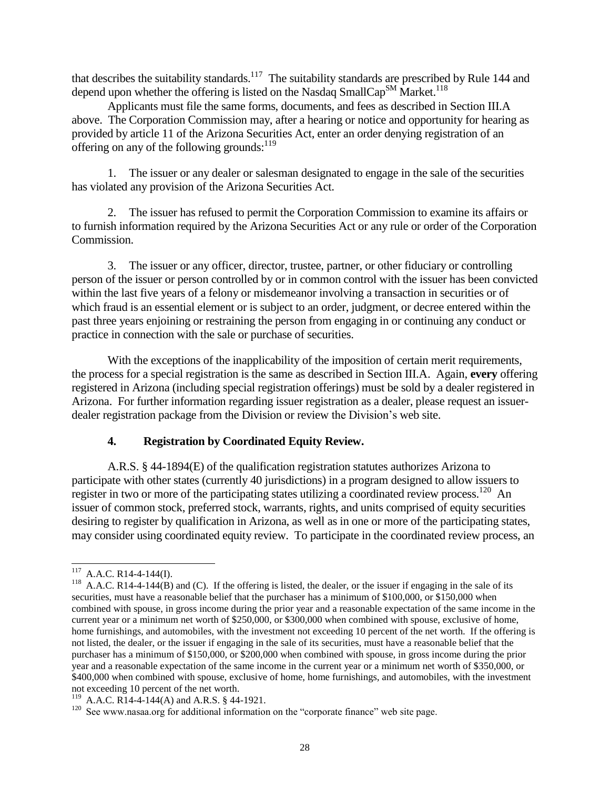that describes the suitability standards.<sup>117</sup> The suitability standards are prescribed by Rule 144 and depend upon whether the offering is listed on the Nasdaq SmallCap<sup>SM</sup> Market.<sup>118</sup>

Applicants must file the same forms, documents, and fees as described in Section III.A above. The Corporation Commission may, after a hearing or notice and opportunity for hearing as provided by article 11 of the Arizona Securities Act, enter an order denying registration of an offering on any of the following grounds:<sup>119</sup>

1. The issuer or any dealer or salesman designated to engage in the sale of the securities has violated any provision of the Arizona Securities Act.

2. The issuer has refused to permit the Corporation Commission to examine its affairs or to furnish information required by the Arizona Securities Act or any rule or order of the Corporation Commission.

3. The issuer or any officer, director, trustee, partner, or other fiduciary or controlling person of the issuer or person controlled by or in common control with the issuer has been convicted within the last five years of a felony or misdemeanor involving a transaction in securities or of which fraud is an essential element or is subject to an order, judgment, or decree entered within the past three years enjoining or restraining the person from engaging in or continuing any conduct or practice in connection with the sale or purchase of securities.

With the exceptions of the inapplicability of the imposition of certain merit requirements, the process for a special registration is the same as described in Section III.A. Again, **every** offering registered in Arizona (including special registration offerings) must be sold by a dealer registered in Arizona. For further information regarding issuer registration as a dealer, please request an issuerdealer registration package from the Division or review the Division's web site.

## **4. Registration by Coordinated Equity Review.**

A.R.S. § 44-1894(E) of the qualification registration statutes authorizes Arizona to participate with other states (currently 40 jurisdictions) in a program designed to allow issuers to register in two or more of the participating states utilizing a coordinated review process.<sup>120</sup> An issuer of common stock, preferred stock, warrants, rights, and units comprised of equity securities desiring to register by qualification in Arizona, as well as in one or more of the participating states, may consider using coordinated equity review. To participate in the coordinated review process, an

l  $117$  A.A.C. R14-4-144(I).

 $118$  A.A.C. R14-4-144(B) and (C). If the offering is listed, the dealer, or the issuer if engaging in the sale of its securities, must have a reasonable belief that the purchaser has a minimum of \$100,000, or \$150,000 when combined with spouse, in gross income during the prior year and a reasonable expectation of the same income in the current year or a minimum net worth of \$250,000, or \$300,000 when combined with spouse, exclusive of home, home furnishings, and automobiles, with the investment not exceeding 10 percent of the net worth. If the offering is not listed, the dealer, or the issuer if engaging in the sale of its securities, must have a reasonable belief that the purchaser has a minimum of \$150,000, or \$200,000 when combined with spouse, in gross income during the prior year and a reasonable expectation of the same income in the current year or a minimum net worth of \$350,000, or \$400,000 when combined with spouse, exclusive of home, home furnishings, and automobiles, with the investment not exceeding 10 percent of the net worth.

<sup>&</sup>lt;sup>119</sup> A.A.C. R14-4-144(A) and A.R.S. § 44-1921.

<sup>&</sup>lt;sup>120</sup> See www.nasaa.org for additional information on the "corporate finance" web site page.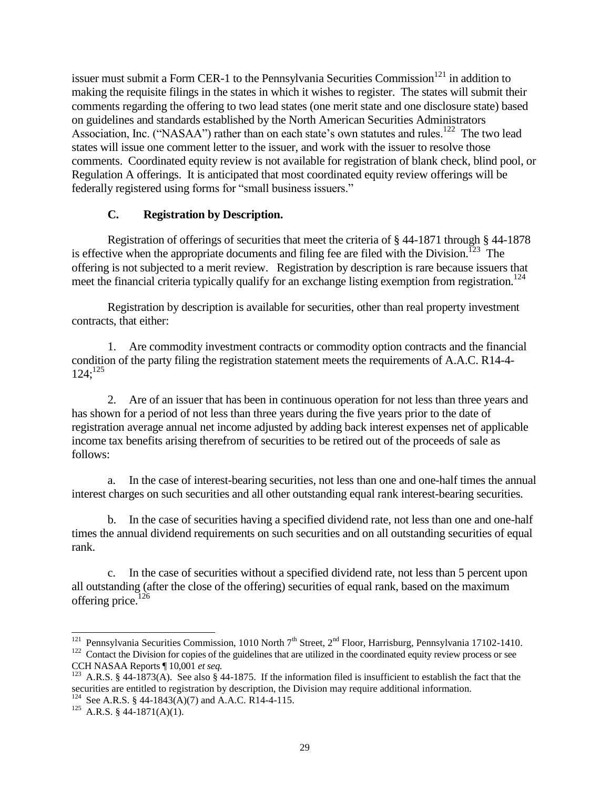issuer must submit a Form CER-1 to the Pennsylvania Securities Commission<sup>121</sup> in addition to making the requisite filings in the states in which it wishes to register. The states will submit their comments regarding the offering to two lead states (one merit state and one disclosure state) based on guidelines and standards established by the North American Securities Administrators Association, Inc. ("NASAA") rather than on each state's own statutes and rules.<sup>122</sup> The two lead states will issue one comment letter to the issuer, and work with the issuer to resolve those comments. Coordinated equity review is not available for registration of blank check, blind pool, or Regulation A offerings. It is anticipated that most coordinated equity review offerings will be federally registered using forms for "small business issuers."

#### **C. Registration by Description.**

Registration of offerings of securities that meet the criteria of § 44-1871 through § 44-1878 is effective when the appropriate documents and filing fee are filed with the Division.<sup>123</sup> The offering is not subjected to a merit review. Registration by description is rare because issuers that meet the financial criteria typically qualify for an exchange listing exemption from registration.<sup>124</sup>

Registration by description is available for securities, other than real property investment contracts, that either:

1. Are commodity investment contracts or commodity option contracts and the financial condition of the party filing the registration statement meets the requirements of A.A.C. R14-4-  $124$ ;<sup>125</sup>

2. Are of an issuer that has been in continuous operation for not less than three years and has shown for a period of not less than three years during the five years prior to the date of registration average annual net income adjusted by adding back interest expenses net of applicable income tax benefits arising therefrom of securities to be retired out of the proceeds of sale as follows:

a. In the case of interest-bearing securities, not less than one and one-half times the annual interest charges on such securities and all other outstanding equal rank interest-bearing securities.

b. In the case of securities having a specified dividend rate, not less than one and one-half times the annual dividend requirements on such securities and on all outstanding securities of equal rank.

c. In the case of securities without a specified dividend rate, not less than 5 percent upon all outstanding (after the close of the offering) securities of equal rank, based on the maximum offering price.<sup>126</sup>

<sup>&</sup>lt;sup>121</sup> Pennsylvania Securities Commission, 1010 North 7<sup>th</sup> Street, 2<sup>nd</sup> Floor, Harrisburg, Pennsylvania 17102-1410.

 $122$  Contact the Division for copies of the guidelines that are utilized in the coordinated equity review process or see CCH NASAA Reports ¶ 10,001 *et seq.*

<sup>&</sup>lt;sup>123</sup> A.R.S. § 44-1873(A). See also § 44-1875. If the information filed is insufficient to establish the fact that the securities are entitled to registration by description, the Division may require additional information. <sup>124</sup> See A.R.S. § 44-1843(A)(7) and A.A.C. R14-4-115.

<sup>&</sup>lt;sup>125</sup> A.R.S. § 44-1871(A)(1).